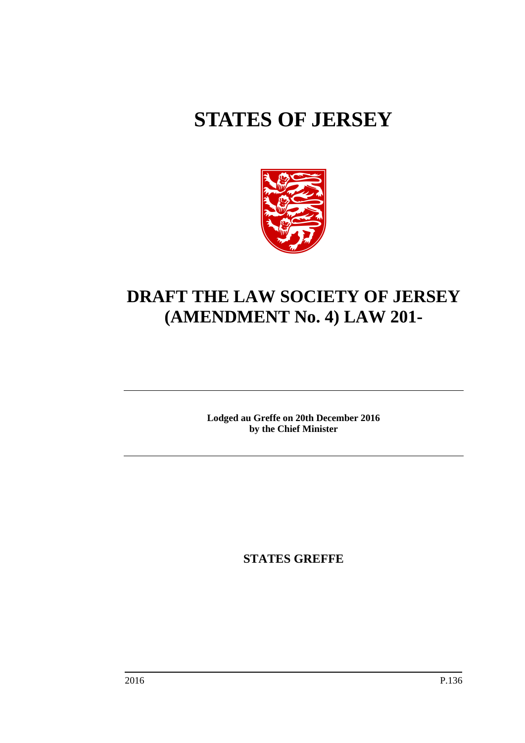# **STATES OF JERSEY**



# **DRAFT THE LAW SOCIETY OF JERSEY (AMENDMENT No. 4) LAW 201-**

**Lodged au Greffe on 20th December 2016 by the Chief Minister**

**STATES GREFFE**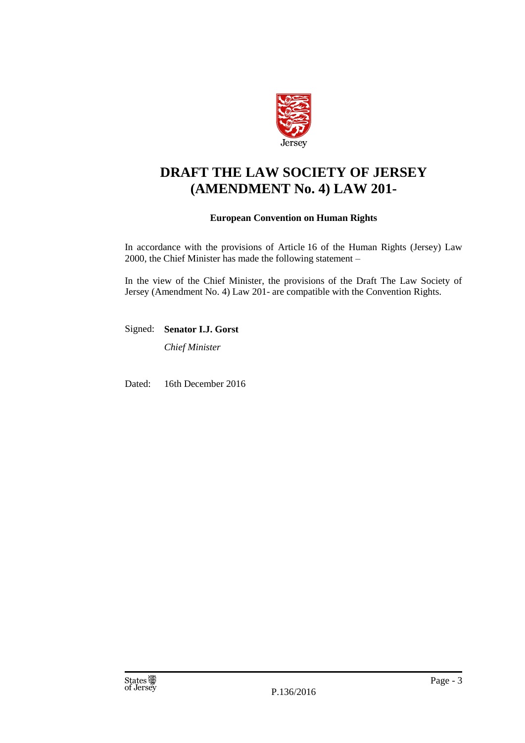

# **DRAFT THE LAW SOCIETY OF JERSEY (AMENDMENT No. 4) LAW 201-**

# **European Convention on Human Rights**

In accordance with the provisions of Article 16 of the Human Rights (Jersey) Law 2000, the Chief Minister has made the following statement –

In the view of the Chief Minister, the provisions of the Draft The Law Society of Jersey (Amendment No. 4) Law 201- are compatible with the Convention Rights.

Signed: **Senator I.J. Gorst**

*Chief Minister*

Dated: 16th December 2016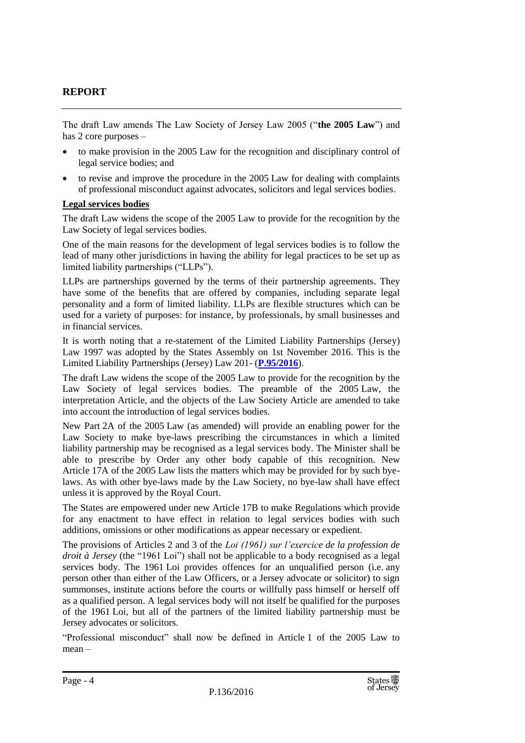# **REPORT**

The draft Law amends The Law Society of Jersey Law 2005 ("**the 2005 Law**") and has 2 core purposes –

- to make provision in the 2005 Law for the recognition and disciplinary control of legal service bodies; and
- to revise and improve the procedure in the 2005 Law for dealing with complaints of professional misconduct against advocates, solicitors and legal services bodies.

# **Legal services bodies**

The draft Law widens the scope of the 2005 Law to provide for the recognition by the Law Society of legal services bodies.

One of the main reasons for the development of legal services bodies is to follow the lead of many other jurisdictions in having the ability for legal practices to be set up as limited liability partnerships ("LLPs").

LLPs are partnerships governed by the terms of their partnership agreements. They have some of the benefits that are offered by companies, including separate legal personality and a form of limited liability. LLPs are flexible structures which can be used for a variety of purposes: for instance, by professionals, by small businesses and in financial services.

It is worth noting that a re-statement of the Limited Liability Partnerships (Jersey) Law 1997 was adopted by the States Assembly on 1st November 2016. This is the Limited Liability Partnerships (Jersey) Law 201- (**[P.95/2016](http://www.statesassembly.gov.je/AssemblyPropositions/2016/P.95-2016.pdf)**).

The draft Law widens the scope of the 2005 Law to provide for the recognition by the Law Society of legal services bodies. The preamble of the 2005 Law, the interpretation Article, and the objects of the Law Society Article are amended to take into account the introduction of legal services bodies.

New Part 2A of the 2005 Law (as amended) will provide an enabling power for the Law Society to make bye-laws prescribing the circumstances in which a limited liability partnership may be recognised as a legal services body. The Minister shall be able to prescribe by Order any other body capable of this recognition. New Article 17A of the 2005 Law lists the matters which may be provided for by such byelaws. As with other bye-laws made by the Law Society, no bye-law shall have effect unless it is approved by the Royal Court.

The States are empowered under new Article 17B to make Regulations which provide for any enactment to have effect in relation to legal services bodies with such additions, omissions or other modifications as appear necessary or expedient.

The provisions of Articles 2 and 3 of the *Loi (1961) sur l'exercice de la profession de droit à Jersey* (the "1961 Loi") shall not be applicable to a body recognised as a legal services body. The 1961 Loi provides offences for an unqualified person (i.e. any person other than either of the Law Officers, or a Jersey advocate or solicitor) to sign summonses, institute actions before the courts or willfully pass himself or herself off as a qualified person. A legal services body will not itself be qualified for the purposes of the 1961 Loi, but all of the partners of the limited liability partnership must be Jersey advocates or solicitors.

"Professional misconduct" shall now be defined in Article 1 of the 2005 Law to mean –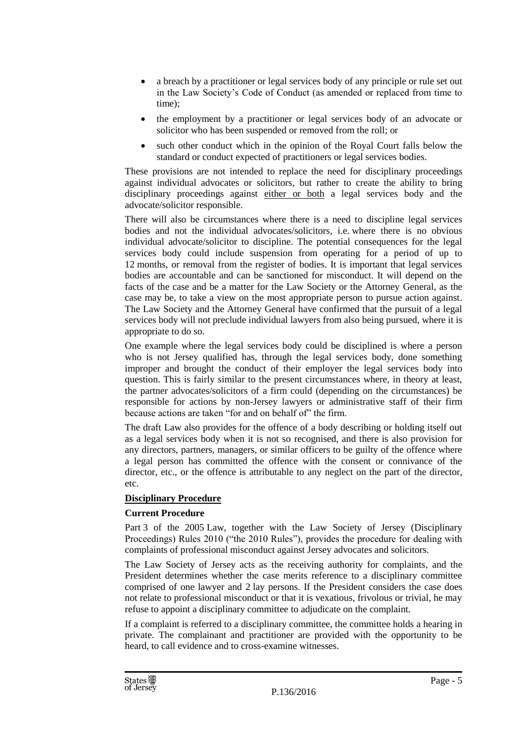- a breach by a practitioner or legal services body of any principle or rule set out in the Law Society's Code of Conduct (as amended or replaced from time to time);
- the employment by a practitioner or legal services body of an advocate or solicitor who has been suspended or removed from the roll; or
- such other conduct which in the opinion of the Royal Court falls below the standard or conduct expected of practitioners or legal services bodies.

These provisions are not intended to replace the need for disciplinary proceedings against individual advocates or solicitors, but rather to create the ability to bring disciplinary proceedings against either or both a legal services body and the advocate/solicitor responsible.

There will also be circumstances where there is a need to discipline legal services bodies and not the individual advocates/solicitors, i.e. where there is no obvious individual advocate/solicitor to discipline. The potential consequences for the legal services body could include suspension from operating for a period of up to 12 months, or removal from the register of bodies. It is important that legal services bodies are accountable and can be sanctioned for misconduct. It will depend on the facts of the case and be a matter for the Law Society or the Attorney General, as the case may be, to take a view on the most appropriate person to pursue action against. The Law Society and the Attorney General have confirmed that the pursuit of a legal services body will not preclude individual lawyers from also being pursued, where it is appropriate to do so.

One example where the legal services body could be disciplined is where a person who is not Jersey qualified has, through the legal services body, done something improper and brought the conduct of their employer the legal services body into question. This is fairly similar to the present circumstances where, in theory at least, the partner advocates/solicitors of a firm could (depending on the circumstances) be responsible for actions by non-Jersey lawyers or administrative staff of their firm because actions are taken "for and on behalf of" the firm.

The draft Law also provides for the offence of a body describing or holding itself out as a legal services body when it is not so recognised, and there is also provision for any directors, partners, managers, or similar officers to be guilty of the offence where a legal person has committed the offence with the consent or connivance of the director, etc., or the offence is attributable to any neglect on the part of the director, etc.

# **Disciplinary Procedure**

# **Current Procedure**

Part 3 of the 2005 Law, together with the Law Society of Jersey (Disciplinary Proceedings) Rules 2010 ("the 2010 Rules"), provides the procedure for dealing with complaints of professional misconduct against Jersey advocates and solicitors.

The Law Society of Jersey acts as the receiving authority for complaints, and the President determines whether the case merits reference to a disciplinary committee comprised of one lawyer and 2 lay persons. If the President considers the case does not relate to professional misconduct or that it is vexatious, frivolous or trivial, he may refuse to appoint a disciplinary committee to adjudicate on the complaint.

If a complaint is referred to a disciplinary committee, the committee holds a hearing in private. The complainant and practitioner are provided with the opportunity to be heard, to call evidence and to cross-examine witnesses.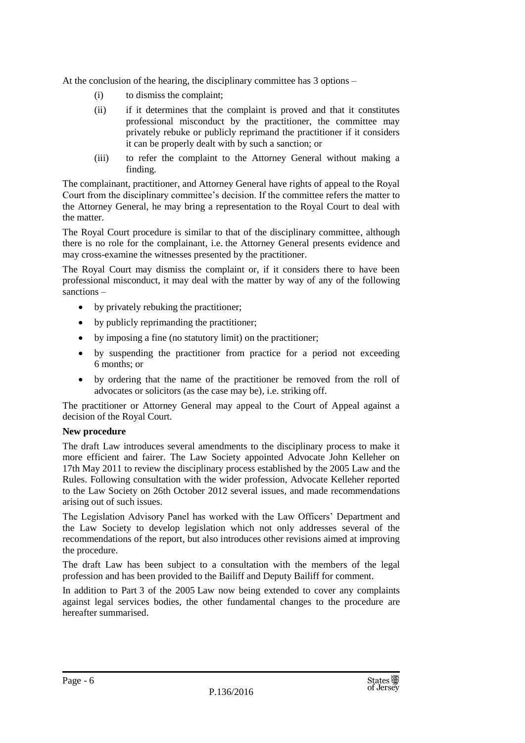At the conclusion of the hearing, the disciplinary committee has 3 options –

- (i) to dismiss the complaint;
- (ii) if it determines that the complaint is proved and that it constitutes professional misconduct by the practitioner, the committee may privately rebuke or publicly reprimand the practitioner if it considers it can be properly dealt with by such a sanction; or
- (iii) to refer the complaint to the Attorney General without making a finding.

The complainant, practitioner, and Attorney General have rights of appeal to the Royal Court from the disciplinary committee's decision. If the committee refers the matter to the Attorney General, he may bring a representation to the Royal Court to deal with the matter.

The Royal Court procedure is similar to that of the disciplinary committee, although there is no role for the complainant, i.e. the Attorney General presents evidence and may cross-examine the witnesses presented by the practitioner.

The Royal Court may dismiss the complaint or, if it considers there to have been professional misconduct, it may deal with the matter by way of any of the following sanctions –

- by privately rebuking the practitioner;
- by publicly reprimanding the practitioner;
- by imposing a fine (no statutory limit) on the practitioner;
- by suspending the practitioner from practice for a period not exceeding 6 months; or
- by ordering that the name of the practitioner be removed from the roll of advocates or solicitors (as the case may be), i.e. striking off.

The practitioner or Attorney General may appeal to the Court of Appeal against a decision of the Royal Court.

# **New procedure**

The draft Law introduces several amendments to the disciplinary process to make it more efficient and fairer. The Law Society appointed Advocate John Kelleher on 17th May 2011 to review the disciplinary process established by the 2005 Law and the Rules. Following consultation with the wider profession, Advocate Kelleher reported to the Law Society on 26th October 2012 several issues, and made recommendations arising out of such issues.

The Legislation Advisory Panel has worked with the Law Officers' Department and the Law Society to develop legislation which not only addresses several of the recommendations of the report, but also introduces other revisions aimed at improving the procedure.

The draft Law has been subject to a consultation with the members of the legal profession and has been provided to the Bailiff and Deputy Bailiff for comment.

In addition to Part 3 of the 2005 Law now being extended to cover any complaints against legal services bodies, the other fundamental changes to the procedure are hereafter summarised.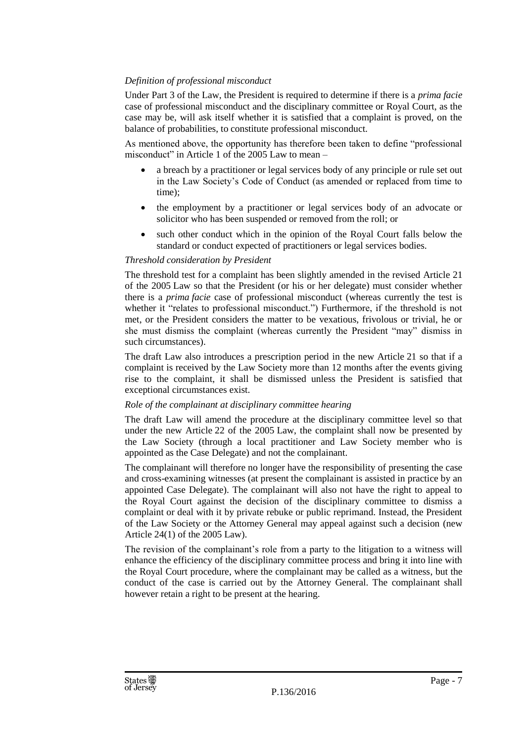# *Definition of professional misconduct*

Under Part 3 of the Law, the President is required to determine if there is a *prima facie* case of professional misconduct and the disciplinary committee or Royal Court, as the case may be, will ask itself whether it is satisfied that a complaint is proved, on the balance of probabilities, to constitute professional misconduct.

As mentioned above, the opportunity has therefore been taken to define "professional misconduct" in Article 1 of the 2005 Law to mean –

- a breach by a practitioner or legal services body of any principle or rule set out in the Law Society's Code of Conduct (as amended or replaced from time to time);
- the employment by a practitioner or legal services body of an advocate or solicitor who has been suspended or removed from the roll; or
- such other conduct which in the opinion of the Royal Court falls below the standard or conduct expected of practitioners or legal services bodies.

# *Threshold consideration by President*

The threshold test for a complaint has been slightly amended in the revised Article 21 of the 2005 Law so that the President (or his or her delegate) must consider whether there is a *prima facie* case of professional misconduct (whereas currently the test is whether it "relates to professional misconduct.") Furthermore, if the threshold is not met, or the President considers the matter to be vexatious, frivolous or trivial, he or she must dismiss the complaint (whereas currently the President "may" dismiss in such circumstances).

The draft Law also introduces a prescription period in the new Article 21 so that if a complaint is received by the Law Society more than 12 months after the events giving rise to the complaint, it shall be dismissed unless the President is satisfied that exceptional circumstances exist.

#### *Role of the complainant at disciplinary committee hearing*

The draft Law will amend the procedure at the disciplinary committee level so that under the new Article 22 of the 2005 Law, the complaint shall now be presented by the Law Society (through a local practitioner and Law Society member who is appointed as the Case Delegate) and not the complainant.

The complainant will therefore no longer have the responsibility of presenting the case and cross-examining witnesses (at present the complainant is assisted in practice by an appointed Case Delegate). The complainant will also not have the right to appeal to the Royal Court against the decision of the disciplinary committee to dismiss a complaint or deal with it by private rebuke or public reprimand. Instead, the President of the Law Society or the Attorney General may appeal against such a decision (new Article 24(1) of the 2005 Law).

The revision of the complainant's role from a party to the litigation to a witness will enhance the efficiency of the disciplinary committee process and bring it into line with the Royal Court procedure, where the complainant may be called as a witness, but the conduct of the case is carried out by the Attorney General. The complainant shall however retain a right to be present at the hearing.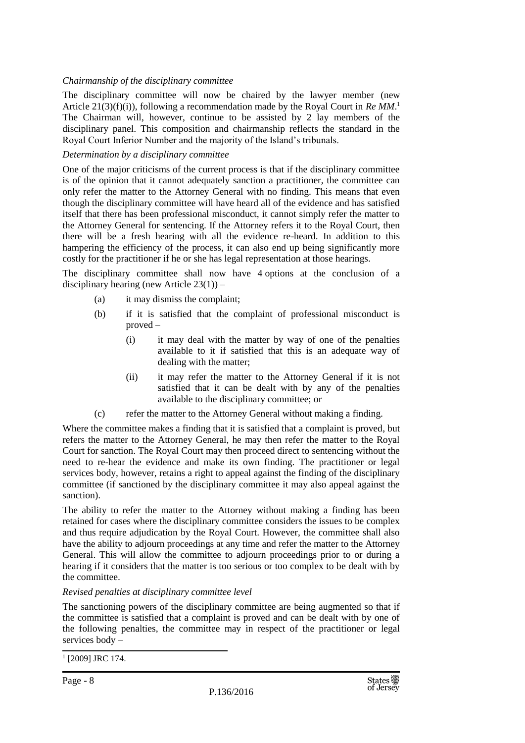#### *Chairmanship of the disciplinary committee*

The disciplinary committee will now be chaired by the lawyer member (new Article 21(3)(f)(i)), following a recommendation made by the Royal Court in *Re MM*. 1 The Chairman will, however, continue to be assisted by 2 lay members of the disciplinary panel. This composition and chairmanship reflects the standard in the Royal Court Inferior Number and the majority of the Island's tribunals.

#### *Determination by a disciplinary committee*

One of the major criticisms of the current process is that if the disciplinary committee is of the opinion that it cannot adequately sanction a practitioner, the committee can only refer the matter to the Attorney General with no finding. This means that even though the disciplinary committee will have heard all of the evidence and has satisfied itself that there has been professional misconduct, it cannot simply refer the matter to the Attorney General for sentencing. If the Attorney refers it to the Royal Court, then there will be a fresh hearing with all the evidence re-heard. In addition to this hampering the efficiency of the process, it can also end up being significantly more costly for the practitioner if he or she has legal representation at those hearings.

The disciplinary committee shall now have 4 options at the conclusion of a disciplinary hearing (new Article  $23(1)$ ) –

- (a) it may dismiss the complaint;
- (b) if it is satisfied that the complaint of professional misconduct is proved –
	- (i) it may deal with the matter by way of one of the penalties available to it if satisfied that this is an adequate way of dealing with the matter;
	- (ii) it may refer the matter to the Attorney General if it is not satisfied that it can be dealt with by any of the penalties available to the disciplinary committee; or
- (c) refer the matter to the Attorney General without making a finding.

Where the committee makes a finding that it is satisfied that a complaint is proved, but refers the matter to the Attorney General, he may then refer the matter to the Royal Court for sanction. The Royal Court may then proceed direct to sentencing without the need to re-hear the evidence and make its own finding. The practitioner or legal services body, however, retains a right to appeal against the finding of the disciplinary committee (if sanctioned by the disciplinary committee it may also appeal against the sanction).

The ability to refer the matter to the Attorney without making a finding has been retained for cases where the disciplinary committee considers the issues to be complex and thus require adjudication by the Royal Court. However, the committee shall also have the ability to adjourn proceedings at any time and refer the matter to the Attorney General. This will allow the committee to adjourn proceedings prior to or during a hearing if it considers that the matter is too serious or too complex to be dealt with by the committee.

#### *Revised penalties at disciplinary committee level*

The sanctioning powers of the disciplinary committee are being augmented so that if the committee is satisfied that a complaint is proved and can be dealt with by one of the following penalties, the committee may in respect of the practitioner or legal services body –

<sup>1</sup> [2009] JRC 174.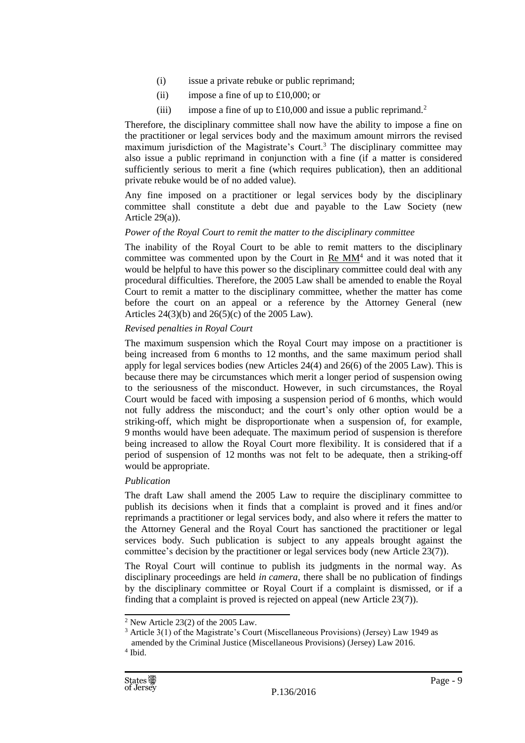- (i) issue a private rebuke or public reprimand;
- (ii) impose a fine of up to  $£10,000$ ; or
- (iii) impose a fine of up to  $\text{\pounds}10,000$  and issue a public reprimand.<sup>2</sup>

Therefore, the disciplinary committee shall now have the ability to impose a fine on the practitioner or legal services body and the maximum amount mirrors the revised maximum jurisdiction of the Magistrate's Court.<sup>3</sup> The disciplinary committee may also issue a public reprimand in conjunction with a fine (if a matter is considered sufficiently serious to merit a fine (which requires publication), then an additional private rebuke would be of no added value).

Any fine imposed on a practitioner or legal services body by the disciplinary committee shall constitute a debt due and payable to the Law Society (new Article 29(a)).

#### *Power of the Royal Court to remit the matter to the disciplinary committee*

The inability of the Royal Court to be able to remit matters to the disciplinary committee was commented upon by the Court in  $Re MM<sup>4</sup>$  and it was noted that it would be helpful to have this power so the disciplinary committee could deal with any procedural difficulties. Therefore, the 2005 Law shall be amended to enable the Royal Court to remit a matter to the disciplinary committee, whether the matter has come before the court on an appeal or a reference by the Attorney General (new Articles  $24(3)(b)$  and  $26(5)(c)$  of the 2005 Law).

#### *Revised penalties in Royal Court*

The maximum suspension which the Royal Court may impose on a practitioner is being increased from 6 months to 12 months, and the same maximum period shall apply for legal services bodies (new Articles 24(4) and 26(6) of the 2005 Law). This is because there may be circumstances which merit a longer period of suspension owing to the seriousness of the misconduct. However, in such circumstances, the Royal Court would be faced with imposing a suspension period of 6 months, which would not fully address the misconduct; and the court's only other option would be a striking-off, which might be disproportionate when a suspension of, for example, 9 months would have been adequate. The maximum period of suspension is therefore being increased to allow the Royal Court more flexibility. It is considered that if a period of suspension of 12 months was not felt to be adequate, then a striking-off would be appropriate.

# *Publication*

The draft Law shall amend the 2005 Law to require the disciplinary committee to publish its decisions when it finds that a complaint is proved and it fines and/or reprimands a practitioner or legal services body, and also where it refers the matter to the Attorney General and the Royal Court has sanctioned the practitioner or legal services body. Such publication is subject to any appeals brought against the committee's decision by the practitioner or legal services body (new Article 23(7)).

The Royal Court will continue to publish its judgments in the normal way. As disciplinary proceedings are held *in camera*, there shall be no publication of findings by the disciplinary committee or Royal Court if a complaint is dismissed, or if a finding that a complaint is proved is rejected on appeal (new Article 23(7)).

 $2$  New Article 23(2) of the 2005 Law.

<sup>3</sup> Article 3(1) of the Magistrate's Court (Miscellaneous Provisions) (Jersey) Law 1949 as amended by the Criminal Justice (Miscellaneous Provisions) (Jersey) Law 2016.

<sup>4</sup> Ibid.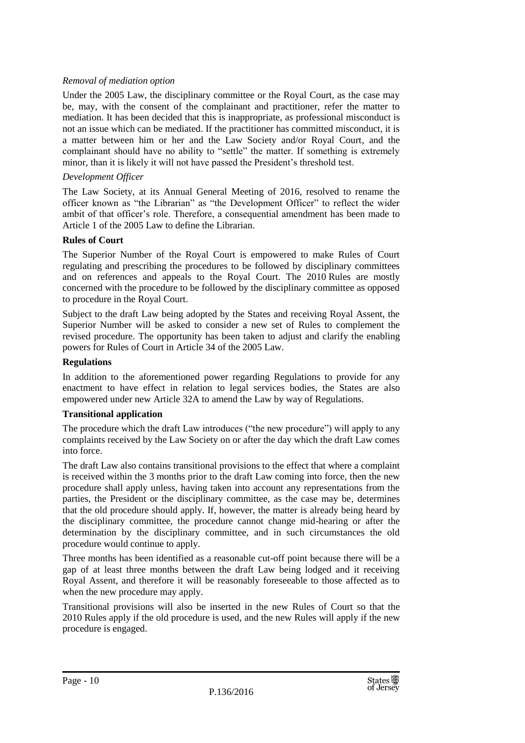# *Removal of mediation option*

Under the 2005 Law, the disciplinary committee or the Royal Court, as the case may be, may, with the consent of the complainant and practitioner, refer the matter to mediation. It has been decided that this is inappropriate, as professional misconduct is not an issue which can be mediated. If the practitioner has committed misconduct, it is a matter between him or her and the Law Society and/or Royal Court, and the complainant should have no ability to "settle" the matter. If something is extremely minor, than it is likely it will not have passed the President's threshold test.

# *Development Officer*

The Law Society, at its Annual General Meeting of 2016, resolved to rename the officer known as "the Librarian" as "the Development Officer" to reflect the wider ambit of that officer's role. Therefore, a consequential amendment has been made to Article 1 of the 2005 Law to define the Librarian.

# **Rules of Court**

The Superior Number of the Royal Court is empowered to make Rules of Court regulating and prescribing the procedures to be followed by disciplinary committees and on references and appeals to the Royal Court. The 2010 Rules are mostly concerned with the procedure to be followed by the disciplinary committee as opposed to procedure in the Royal Court.

Subject to the draft Law being adopted by the States and receiving Royal Assent, the Superior Number will be asked to consider a new set of Rules to complement the revised procedure. The opportunity has been taken to adjust and clarify the enabling powers for Rules of Court in Article 34 of the 2005 Law.

# **Regulations**

In addition to the aforementioned power regarding Regulations to provide for any enactment to have effect in relation to legal services bodies, the States are also empowered under new Article 32A to amend the Law by way of Regulations.

# **Transitional application**

The procedure which the draft Law introduces ("the new procedure") will apply to any complaints received by the Law Society on or after the day which the draft Law comes into force.

The draft Law also contains transitional provisions to the effect that where a complaint is received within the 3 months prior to the draft Law coming into force, then the new procedure shall apply unless, having taken into account any representations from the parties, the President or the disciplinary committee, as the case may be, determines that the old procedure should apply. If, however, the matter is already being heard by the disciplinary committee, the procedure cannot change mid-hearing or after the determination by the disciplinary committee, and in such circumstances the old procedure would continue to apply.

Three months has been identified as a reasonable cut-off point because there will be a gap of at least three months between the draft Law being lodged and it receiving Royal Assent, and therefore it will be reasonably foreseeable to those affected as to when the new procedure may apply.

Transitional provisions will also be inserted in the new Rules of Court so that the 2010 Rules apply if the old procedure is used, and the new Rules will apply if the new procedure is engaged.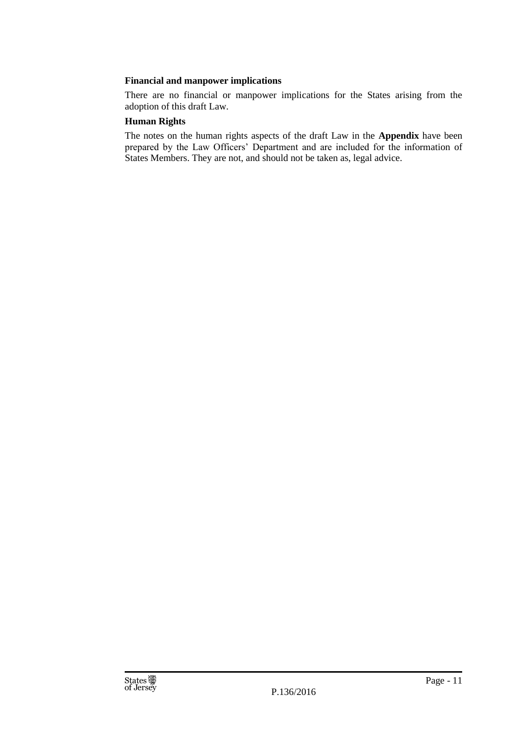# **Financial and manpower implications**

There are no financial or manpower implications for the States arising from the adoption of this draft Law.

# **Human Rights**

The notes on the human rights aspects of the draft Law in the **Appendix** have been prepared by the Law Officers' Department and are included for the information of States Members. They are not, and should not be taken as, legal advice.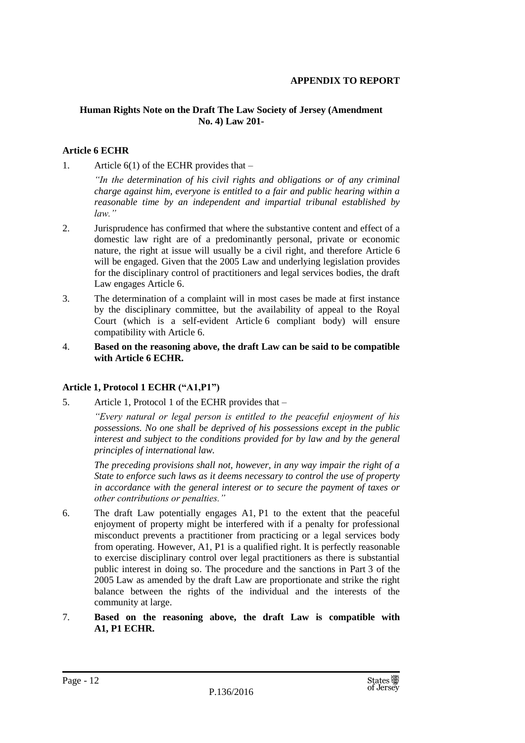#### **APPENDIX TO REPORT**

# **Human Rights Note on the Draft The Law Society of Jersey (Amendment No. 4) Law 201-**

# **Article 6 ECHR**

1. Article  $6(1)$  of the ECHR provides that –

*"In the determination of his civil rights and obligations or of any criminal charge against him, everyone is entitled to a fair and public hearing within a reasonable time by an independent and impartial tribunal established by law."*

- 2. Jurisprudence has confirmed that where the substantive content and effect of a domestic law right are of a predominantly personal, private or economic nature, the right at issue will usually be a civil right, and therefore Article 6 will be engaged. Given that the 2005 Law and underlying legislation provides for the disciplinary control of practitioners and legal services bodies, the draft Law engages Article 6.
- 3. The determination of a complaint will in most cases be made at first instance by the disciplinary committee, but the availability of appeal to the Royal Court (which is a self-evident Article 6 compliant body) will ensure compatibility with Article 6.
- 4. **Based on the reasoning above, the draft Law can be said to be compatible with Article 6 ECHR.**

#### **Article 1, Protocol 1 ECHR ("A1,P1")**

5. Article 1, Protocol 1 of the ECHR provides that –

*"Every natural or legal person is entitled to the peaceful enjoyment of his possessions. No one shall be deprived of his possessions except in the public interest and subject to the conditions provided for by law and by the general principles of international law.*

*The preceding provisions shall not, however, in any way impair the right of a State to enforce such laws as it deems necessary to control the use of property in accordance with the general interest or to secure the payment of taxes or other contributions or penalties."*

- 6. The draft Law potentially engages A1, P1 to the extent that the peaceful enjoyment of property might be interfered with if a penalty for professional misconduct prevents a practitioner from practicing or a legal services body from operating. However, A1, P1 is a qualified right. It is perfectly reasonable to exercise disciplinary control over legal practitioners as there is substantial public interest in doing so. The procedure and the sanctions in Part 3 of the 2005 Law as amended by the draft Law are proportionate and strike the right balance between the rights of the individual and the interests of the community at large.
- 7. **Based on the reasoning above, the draft Law is compatible with A1, P1 ECHR.**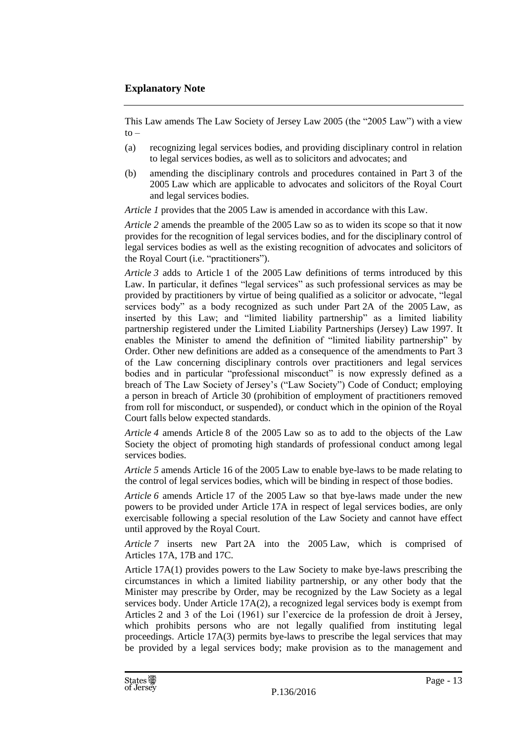# **Explanatory Note**

This Law amends The Law Society of Jersey Law 2005 (the "2005 Law") with a view  $t_0$  –

- (a) recognizing legal services bodies, and providing disciplinary control in relation to legal services bodies, as well as to solicitors and advocates; and
- (b) amending the disciplinary controls and procedures contained in Part 3 of the 2005 Law which are applicable to advocates and solicitors of the Royal Court and legal services bodies.

*Article 1* provides that the 2005 Law is amended in accordance with this Law.

*Article 2* amends the preamble of the 2005 Law so as to widen its scope so that it now provides for the recognition of legal services bodies, and for the disciplinary control of legal services bodies as well as the existing recognition of advocates and solicitors of the Royal Court (i.e. "practitioners").

*Article 3* adds to Article 1 of the 2005 Law definitions of terms introduced by this Law. In particular, it defines "legal services" as such professional services as may be provided by practitioners by virtue of being qualified as a solicitor or advocate, "legal services body" as a body recognized as such under Part 2A of the 2005 Law, as inserted by this Law; and "limited liability partnership" as a limited liability partnership registered under the Limited Liability Partnerships (Jersey) Law 1997. It enables the Minister to amend the definition of "limited liability partnership" by Order. Other new definitions are added as a consequence of the amendments to Part 3 of the Law concerning disciplinary controls over practitioners and legal services bodies and in particular "professional misconduct" is now expressly defined as a breach of The Law Society of Jersey's ("Law Society") Code of Conduct; employing a person in breach of Article 30 (prohibition of employment of practitioners removed from roll for misconduct, or suspended), or conduct which in the opinion of the Royal Court falls below expected standards.

*Article 4* amends Article 8 of the 2005 Law so as to add to the objects of the Law Society the object of promoting high standards of professional conduct among legal services bodies.

*Article 5* amends Article 16 of the 2005 Law to enable bye-laws to be made relating to the control of legal services bodies, which will be binding in respect of those bodies.

*Article 6* amends Article 17 of the 2005 Law so that bye-laws made under the new powers to be provided under Article 17A in respect of legal services bodies, are only exercisable following a special resolution of the Law Society and cannot have effect until approved by the Royal Court.

*Article 7* inserts new Part 2A into the 2005 Law, which is comprised of Articles 17A, 17B and 17C.

Article 17A(1) provides powers to the Law Society to make bye-laws prescribing the circumstances in which a limited liability partnership, or any other body that the Minister may prescribe by Order, may be recognized by the Law Society as a legal services body. Under Article 17A(2), a recognized legal services body is exempt from Articles 2 and 3 of the Loi (1961) sur l'exercice de la profession de droit à Jersey, which prohibits persons who are not legally qualified from instituting legal proceedings. Article 17A(3) permits bye-laws to prescribe the legal services that may be provided by a legal services body; make provision as to the management and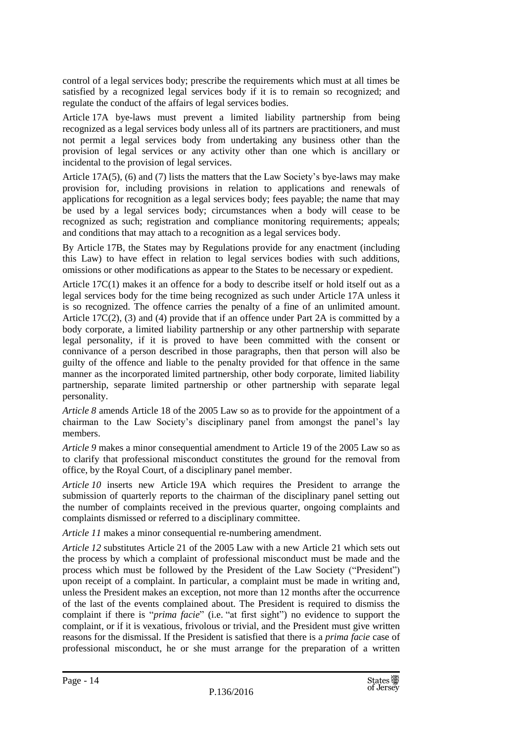control of a legal services body; prescribe the requirements which must at all times be satisfied by a recognized legal services body if it is to remain so recognized; and regulate the conduct of the affairs of legal services bodies.

Article 17A bye-laws must prevent a limited liability partnership from being recognized as a legal services body unless all of its partners are practitioners, and must not permit a legal services body from undertaking any business other than the provision of legal services or any activity other than one which is ancillary or incidental to the provision of legal services.

Article 17A(5), (6) and (7) lists the matters that the Law Society's bye-laws may make provision for, including provisions in relation to applications and renewals of applications for recognition as a legal services body; fees payable; the name that may be used by a legal services body; circumstances when a body will cease to be recognized as such; registration and compliance monitoring requirements; appeals; and conditions that may attach to a recognition as a legal services body.

By Article 17B, the States may by Regulations provide for any enactment (including this Law) to have effect in relation to legal services bodies with such additions, omissions or other modifications as appear to the States to be necessary or expedient.

Article 17C(1) makes it an offence for a body to describe itself or hold itself out as a legal services body for the time being recognized as such under Article 17A unless it is so recognized. The offence carries the penalty of a fine of an unlimited amount. Article 17C(2), (3) and (4) provide that if an offence under Part 2A is committed by a body corporate, a limited liability partnership or any other partnership with separate legal personality, if it is proved to have been committed with the consent or connivance of a person described in those paragraphs, then that person will also be guilty of the offence and liable to the penalty provided for that offence in the same manner as the incorporated limited partnership, other body corporate, limited liability partnership, separate limited partnership or other partnership with separate legal personality.

*Article 8* amends Article 18 of the 2005 Law so as to provide for the appointment of a chairman to the Law Society's disciplinary panel from amongst the panel's lay members.

*Article 9* makes a minor consequential amendment to Article 19 of the 2005 Law so as to clarify that professional misconduct constitutes the ground for the removal from office, by the Royal Court, of a disciplinary panel member.

*Article 10* inserts new Article 19A which requires the President to arrange the submission of quarterly reports to the chairman of the disciplinary panel setting out the number of complaints received in the previous quarter, ongoing complaints and complaints dismissed or referred to a disciplinary committee.

*Article 11* makes a minor consequential re-numbering amendment.

*Article 12* substitutes Article 21 of the 2005 Law with a new Article 21 which sets out the process by which a complaint of professional misconduct must be made and the process which must be followed by the President of the Law Society ("President") upon receipt of a complaint. In particular, a complaint must be made in writing and, unless the President makes an exception, not more than 12 months after the occurrence of the last of the events complained about. The President is required to dismiss the complaint if there is "*prima facie*" (i.e. "at first sight") no evidence to support the complaint, or if it is vexatious, frivolous or trivial, and the President must give written reasons for the dismissal. If the President is satisfied that there is a *prima facie* case of professional misconduct, he or she must arrange for the preparation of a written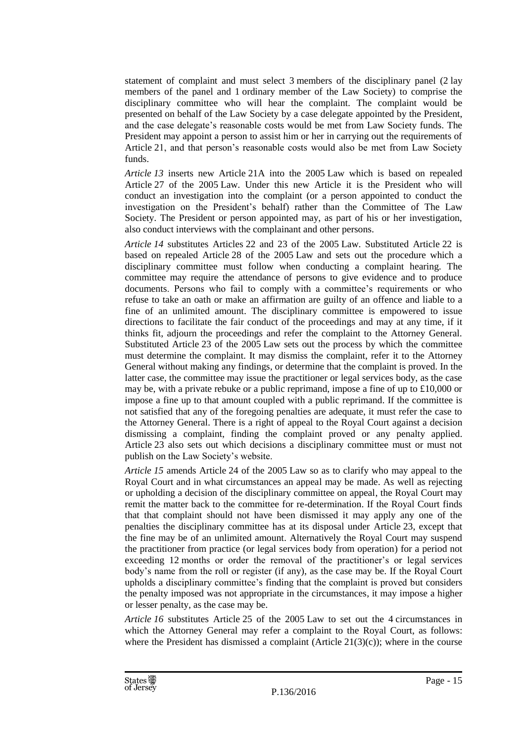statement of complaint and must select 3 members of the disciplinary panel (2 lay members of the panel and 1 ordinary member of the Law Society) to comprise the disciplinary committee who will hear the complaint. The complaint would be presented on behalf of the Law Society by a case delegate appointed by the President, and the case delegate's reasonable costs would be met from Law Society funds. The President may appoint a person to assist him or her in carrying out the requirements of Article 21, and that person's reasonable costs would also be met from Law Society funds.

*Article 13* inserts new Article 21A into the 2005 Law which is based on repealed Article 27 of the 2005 Law. Under this new Article it is the President who will conduct an investigation into the complaint (or a person appointed to conduct the investigation on the President's behalf) rather than the Committee of The Law Society. The President or person appointed may, as part of his or her investigation, also conduct interviews with the complainant and other persons.

*Article 14* substitutes Articles 22 and 23 of the 2005 Law. Substituted Article 22 is based on repealed Article 28 of the 2005 Law and sets out the procedure which a disciplinary committee must follow when conducting a complaint hearing. The committee may require the attendance of persons to give evidence and to produce documents. Persons who fail to comply with a committee's requirements or who refuse to take an oath or make an affirmation are guilty of an offence and liable to a fine of an unlimited amount. The disciplinary committee is empowered to issue directions to facilitate the fair conduct of the proceedings and may at any time, if it thinks fit, adjourn the proceedings and refer the complaint to the Attorney General. Substituted Article 23 of the 2005 Law sets out the process by which the committee must determine the complaint. It may dismiss the complaint, refer it to the Attorney General without making any findings, or determine that the complaint is proved. In the latter case, the committee may issue the practitioner or legal services body, as the case may be, with a private rebuke or a public reprimand, impose a fine of up to £10,000 or impose a fine up to that amount coupled with a public reprimand. If the committee is not satisfied that any of the foregoing penalties are adequate, it must refer the case to the Attorney General. There is a right of appeal to the Royal Court against a decision dismissing a complaint, finding the complaint proved or any penalty applied. Article 23 also sets out which decisions a disciplinary committee must or must not publish on the Law Society's website.

*Article 15* amends Article 24 of the 2005 Law so as to clarify who may appeal to the Royal Court and in what circumstances an appeal may be made. As well as rejecting or upholding a decision of the disciplinary committee on appeal, the Royal Court may remit the matter back to the committee for re-determination. If the Royal Court finds that that complaint should not have been dismissed it may apply any one of the penalties the disciplinary committee has at its disposal under Article 23, except that the fine may be of an unlimited amount. Alternatively the Royal Court may suspend the practitioner from practice (or legal services body from operation) for a period not exceeding 12 months or order the removal of the practitioner's or legal services body's name from the roll or register (if any), as the case may be. If the Royal Court upholds a disciplinary committee's finding that the complaint is proved but considers the penalty imposed was not appropriate in the circumstances, it may impose a higher or lesser penalty, as the case may be.

*Article 16* substitutes Article 25 of the 2005 Law to set out the 4 circumstances in which the Attorney General may refer a complaint to the Royal Court, as follows: where the President has dismissed a complaint (Article  $21(3)(c)$ ); where in the course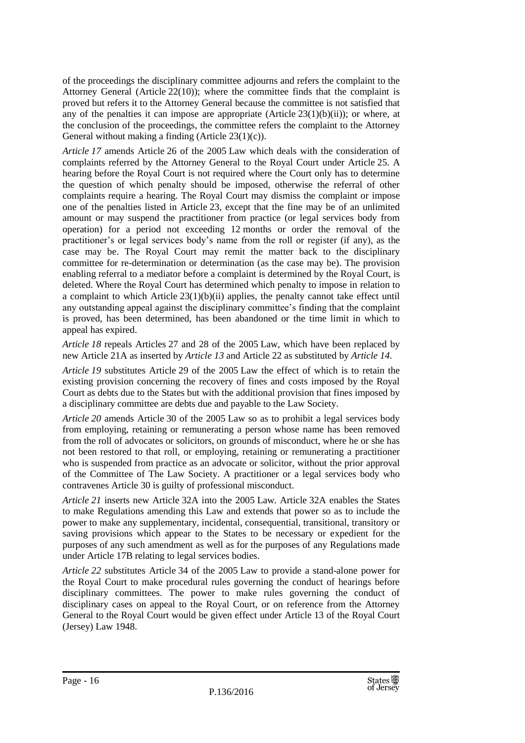of the proceedings the disciplinary committee adjourns and refers the complaint to the Attorney General (Article  $22(10)$ ); where the committee finds that the complaint is proved but refers it to the Attorney General because the committee is not satisfied that any of the penalties it can impose are appropriate (Article  $23(1)(b)(ii)$ ); or where, at the conclusion of the proceedings, the committee refers the complaint to the Attorney General without making a finding (Article 23(1)(c)).

*Article 17* amends Article 26 of the 2005 Law which deals with the consideration of complaints referred by the Attorney General to the Royal Court under Article 25. A hearing before the Royal Court is not required where the Court only has to determine the question of which penalty should be imposed, otherwise the referral of other complaints require a hearing. The Royal Court may dismiss the complaint or impose one of the penalties listed in Article 23, except that the fine may be of an unlimited amount or may suspend the practitioner from practice (or legal services body from operation) for a period not exceeding 12 months or order the removal of the practitioner's or legal services body's name from the roll or register (if any), as the case may be. The Royal Court may remit the matter back to the disciplinary committee for re-determination or determination (as the case may be). The provision enabling referral to a mediator before a complaint is determined by the Royal Court, is deleted. Where the Royal Court has determined which penalty to impose in relation to a complaint to which Article  $23(1)(b)(ii)$  applies, the penalty cannot take effect until any outstanding appeal against the disciplinary committee's finding that the complaint is proved, has been determined, has been abandoned or the time limit in which to appeal has expired.

*Article 18* repeals Articles 27 and 28 of the 2005 Law, which have been replaced by new Article 21A as inserted by *Article 13* and Article 22 as substituted by *Article 14*.

*Article 19* substitutes Article 29 of the 2005 Law the effect of which is to retain the existing provision concerning the recovery of fines and costs imposed by the Royal Court as debts due to the States but with the additional provision that fines imposed by a disciplinary committee are debts due and payable to the Law Society.

*Article 20* amends Article 30 of the 2005 Law so as to prohibit a legal services body from employing, retaining or remunerating a person whose name has been removed from the roll of advocates or solicitors, on grounds of misconduct, where he or she has not been restored to that roll, or employing, retaining or remunerating a practitioner who is suspended from practice as an advocate or solicitor, without the prior approval of the Committee of The Law Society. A practitioner or a legal services body who contravenes Article 30 is guilty of professional misconduct.

*Article 21* inserts new Article 32A into the 2005 Law. Article 32A enables the States to make Regulations amending this Law and extends that power so as to include the power to make any supplementary, incidental, consequential, transitional, transitory or saving provisions which appear to the States to be necessary or expedient for the purposes of any such amendment as well as for the purposes of any Regulations made under Article 17B relating to legal services bodies.

*Article 22* substitutes Article 34 of the 2005 Law to provide a stand-alone power for the Royal Court to make procedural rules governing the conduct of hearings before disciplinary committees. The power to make rules governing the conduct of disciplinary cases on appeal to the Royal Court, or on reference from the Attorney General to the Royal Court would be given effect under Article 13 of the Royal Court (Jersey) Law 1948.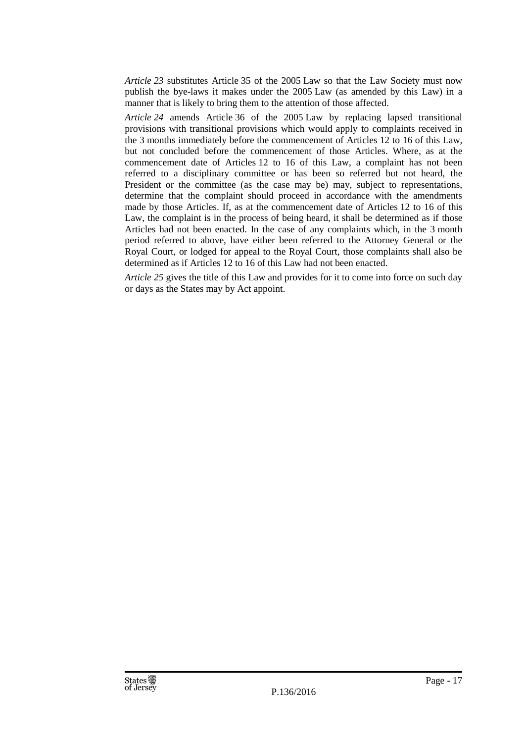*Article 23* substitutes Article 35 of the 2005 Law so that the Law Society must now publish the bye-laws it makes under the 2005 Law (as amended by this Law) in a manner that is likely to bring them to the attention of those affected.

*Article 24* amends Article 36 of the 2005 Law by replacing lapsed transitional provisions with transitional provisions which would apply to complaints received in the 3 months immediately before the commencement of Articles 12 to 16 of this Law, but not concluded before the commencement of those Articles. Where, as at the commencement date of Articles 12 to 16 of this Law, a complaint has not been referred to a disciplinary committee or has been so referred but not heard, the President or the committee (as the case may be) may, subject to representations, determine that the complaint should proceed in accordance with the amendments made by those Articles. If, as at the commencement date of Articles 12 to 16 of this Law, the complaint is in the process of being heard, it shall be determined as if those Articles had not been enacted. In the case of any complaints which, in the 3 month period referred to above, have either been referred to the Attorney General or the Royal Court, or lodged for appeal to the Royal Court, those complaints shall also be determined as if Articles 12 to 16 of this Law had not been enacted.

*Article 25* gives the title of this Law and provides for it to come into force on such day or days as the States may by Act appoint.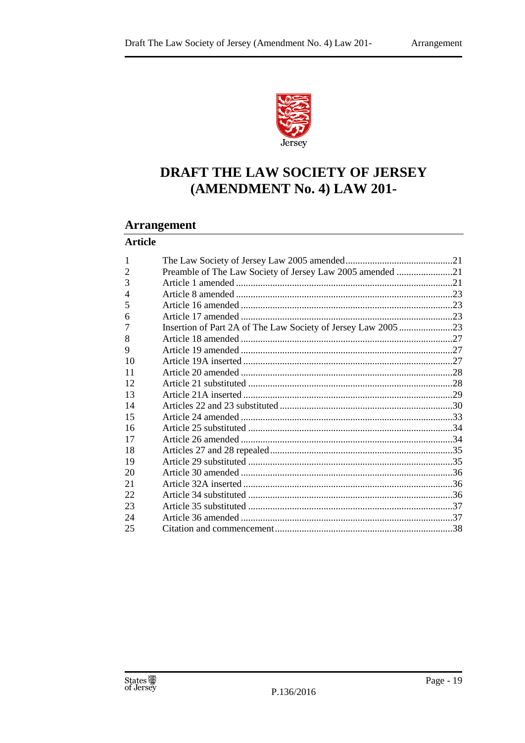

# DRAFT THE LAW SOCIETY OF JERSEY (AMENDMENT No. 4) LAW 201-

# **Arrangement**

# **Article**

| Preamble of The Law Society of Jersey Law 2005 amended 21<br>Insertion of Part 2A of The Law Society of Jersey Law 2005 23 |
|----------------------------------------------------------------------------------------------------------------------------|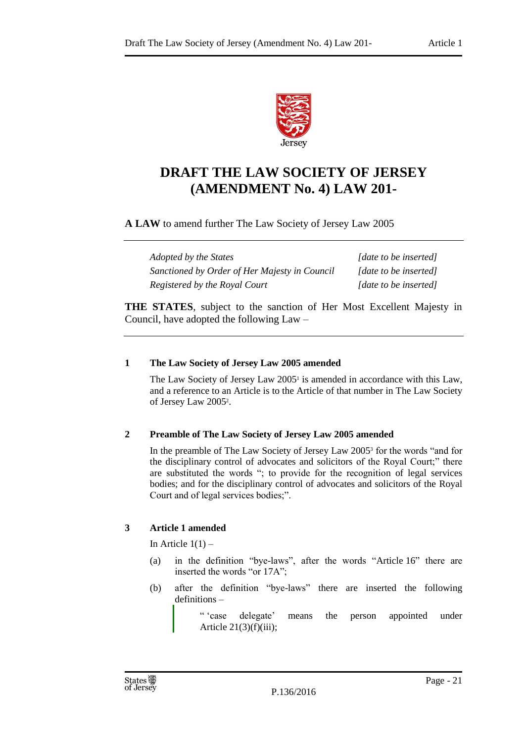

# **DRAFT THE LAW SOCIETY OF JERSEY (AMENDMENT No. 4) LAW 201-**

# **A LAW** to amend further The Law Society of Jersey Law 2005

*Adopted by the States [date to be inserted] Sanctioned by Order of Her Majesty in Council [date to be inserted] Registered by the Royal Court [date to be inserted]*

**THE STATES**, subject to the sanction of Her Most Excellent Majesty in Council, have adopted the following Law –

# <span id="page-20-0"></span>**1 The Law Society of Jersey Law 2005 amended**

The Law Society of Jersey Law 2005<sup>1</sup> is amended in accordance with this Law, and a reference to an Article is to the Article of that number in The Law Society of Jersey Law 2005<sup>2</sup> .

# <span id="page-20-1"></span>**2 Preamble of The Law Society of Jersey Law 2005 amended**

In the preamble of The Law Society of Jersey Law 2005<sup>3</sup> for the words "and for the disciplinary control of advocates and solicitors of the Royal Court;" there are substituted the words "; to provide for the recognition of legal services bodies; and for the disciplinary control of advocates and solicitors of the Royal Court and of legal services bodies;".

# <span id="page-20-2"></span>**3 Article 1 amended**

In Article  $1(1)$  –

- (a) in the definition "bye-laws", after the words "Article 16" there are inserted the words "or 17A";
- (b) after the definition "bye-laws" there are inserted the following definitions –

<sup>&</sup>quot; 'case delegate' means the person appointed under Article  $21(3)(f)(iii)$ ;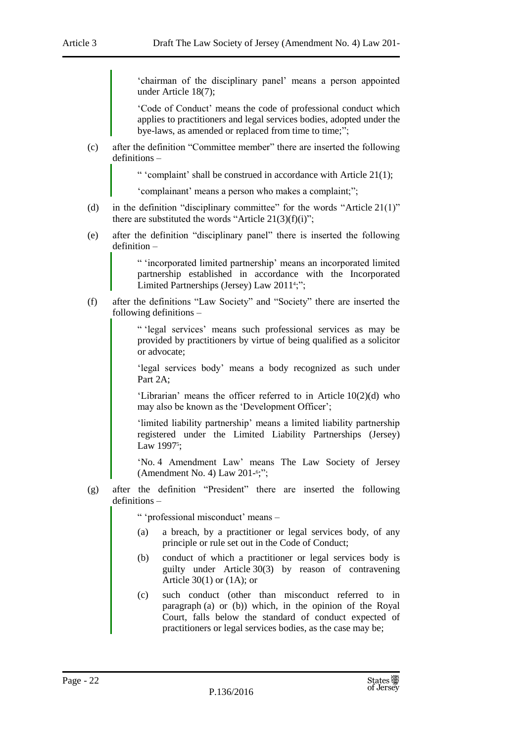'chairman of the disciplinary panel' means a person appointed under Article 18(7);

'Code of Conduct' means the code of professional conduct which applies to practitioners and legal services bodies, adopted under the bye-laws, as amended or replaced from time to time;";

(c) after the definition "Committee member" there are inserted the following definitions –

" 'complaint' shall be construed in accordance with Article 21(1);

'complainant' means a person who makes a complaint;";

- (d) in the definition "disciplinary committee" for the words "Article 21(1)" there are substituted the words "Article  $21(3)(f)(i)$ ";
- (e) after the definition "disciplinary panel" there is inserted the following definition –

" 'incorporated limited partnership' means an incorporated limited partnership established in accordance with the Incorporated Limited Partnerships (Jersey) Law 2011<sup>4</sup>;";

(f) after the definitions "Law Society" and "Society" there are inserted the following definitions –

> " 'legal services' means such professional services as may be provided by practitioners by virtue of being qualified as a solicitor or advocate;

> 'legal services body' means a body recognized as such under Part 2A;

> 'Librarian' means the officer referred to in Article 10(2)(d) who may also be known as the 'Development Officer';

> 'limited liability partnership' means a limited liability partnership registered under the Limited Liability Partnerships (Jersey) Law 1997<sup>5</sup>;

> 'No. 4 Amendment Law' means The Law Society of Jersey (Amendment No. 4) Law 201-<sup>6</sup>;";

(g) after the definition "President" there are inserted the following definitions –

" 'professional misconduct' means –

- (a) a breach, by a practitioner or legal services body, of any principle or rule set out in the Code of Conduct;
- (b) conduct of which a practitioner or legal services body is guilty under Article 30(3) by reason of contravening Article  $30(1)$  or  $(1A)$ ; or
- (c) such conduct (other than misconduct referred to in paragraph (a) or (b)) which, in the opinion of the Royal Court, falls below the standard of conduct expected of practitioners or legal services bodies, as the case may be;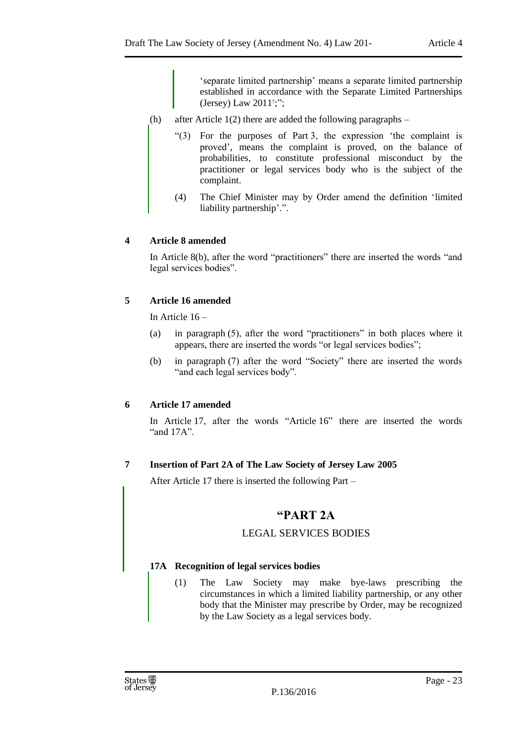'separate limited partnership' means a separate limited partnership established in accordance with the Separate Limited Partnerships (Jersey) Law 2011<sup>7</sup> ;";

- (h) after Article  $1(2)$  there are added the following paragraphs
	- "(3) For the purposes of Part 3, the expression 'the complaint is proved', means the complaint is proved, on the balance of probabilities, to constitute professional misconduct by the practitioner or legal services body who is the subject of the complaint.
	- (4) The Chief Minister may by Order amend the definition 'limited liability partnership'.".

# <span id="page-22-0"></span>**4 Article 8 amended**

In Article 8(b), after the word "practitioners" there are inserted the words "and legal services bodies".

# <span id="page-22-1"></span>**5 Article 16 amended**

In Article 16 –

- (a) in paragraph (5), after the word "practitioners" in both places where it appears, there are inserted the words "or legal services bodies";
- (b) in paragraph (7) after the word "Society" there are inserted the words "and each legal services body".

# <span id="page-22-2"></span>**6 Article 17 amended**

In Article 17, after the words "Article 16" there are inserted the words "and 17A".

# <span id="page-22-3"></span>**7 Insertion of Part 2A of The Law Society of Jersey Law 2005**

After Article 17 there is inserted the following Part –

# **"PART 2A**

# LEGAL SERVICES BODIES

# **17A Recognition of legal services bodies**

(1) The Law Society may make bye-laws prescribing the circumstances in which a limited liability partnership, or any other body that the Minister may prescribe by Order, may be recognized by the Law Society as a legal services body.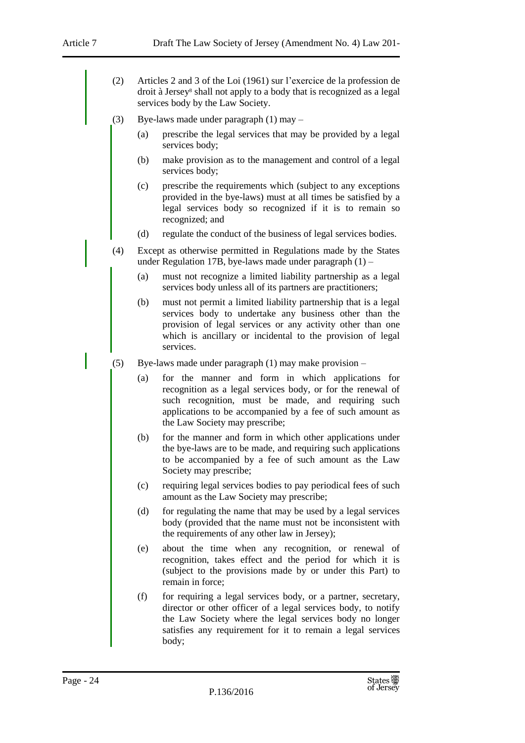- (2) Articles 2 and 3 of the Loi (1961) sur l'exercice de la profession de droit à Jersey<sup>8</sup> shall not apply to a body that is recognized as a legal services body by the Law Society.
- (3) Bye-laws made under paragraph (1) may
	- (a) prescribe the legal services that may be provided by a legal services body;
	- (b) make provision as to the management and control of a legal services body;
	- (c) prescribe the requirements which (subject to any exceptions provided in the bye-laws) must at all times be satisfied by a legal services body so recognized if it is to remain so recognized; and
	- (d) regulate the conduct of the business of legal services bodies.
- (4) Except as otherwise permitted in Regulations made by the States under Regulation 17B, bye-laws made under paragraph (1) –
	- (a) must not recognize a limited liability partnership as a legal services body unless all of its partners are practitioners;
	- (b) must not permit a limited liability partnership that is a legal services body to undertake any business other than the provision of legal services or any activity other than one which is ancillary or incidental to the provision of legal services.
- (5) Bye-laws made under paragraph (1) may make provision
	- (a) for the manner and form in which applications for recognition as a legal services body, or for the renewal of such recognition, must be made, and requiring such applications to be accompanied by a fee of such amount as the Law Society may prescribe;
	- (b) for the manner and form in which other applications under the bye-laws are to be made, and requiring such applications to be accompanied by a fee of such amount as the Law Society may prescribe;
	- (c) requiring legal services bodies to pay periodical fees of such amount as the Law Society may prescribe;
	- (d) for regulating the name that may be used by a legal services body (provided that the name must not be inconsistent with the requirements of any other law in Jersey);
	- (e) about the time when any recognition, or renewal of recognition, takes effect and the period for which it is (subject to the provisions made by or under this Part) to remain in force;
	- (f) for requiring a legal services body, or a partner, secretary, director or other officer of a legal services body, to notify the Law Society where the legal services body no longer satisfies any requirement for it to remain a legal services body;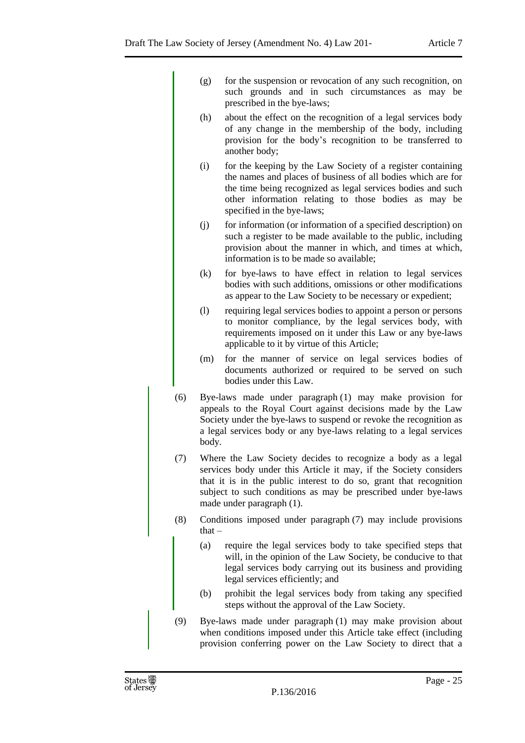|     | (g)                                                                                                                                                                                                                                                                                                    | for the suspension or revocation of any such recognition, on<br>such grounds and in such circumstances as may be<br>prescribed in the bye-laws;                                                                                                                                  |  |
|-----|--------------------------------------------------------------------------------------------------------------------------------------------------------------------------------------------------------------------------------------------------------------------------------------------------------|----------------------------------------------------------------------------------------------------------------------------------------------------------------------------------------------------------------------------------------------------------------------------------|--|
|     | (h)                                                                                                                                                                                                                                                                                                    | about the effect on the recognition of a legal services body<br>of any change in the membership of the body, including<br>provision for the body's recognition to be transferred to<br>another body;                                                                             |  |
|     | (i)                                                                                                                                                                                                                                                                                                    | for the keeping by the Law Society of a register containing<br>the names and places of business of all bodies which are for<br>the time being recognized as legal services bodies and such<br>other information relating to those bodies as may be<br>specified in the bye-laws; |  |
|     | (j)                                                                                                                                                                                                                                                                                                    | for information (or information of a specified description) on<br>such a register to be made available to the public, including<br>provision about the manner in which, and times at which,<br>information is to be made so available;                                           |  |
|     | (k)                                                                                                                                                                                                                                                                                                    | for bye-laws to have effect in relation to legal services<br>bodies with such additions, omissions or other modifications<br>as appear to the Law Society to be necessary or expedient;                                                                                          |  |
|     | (1)                                                                                                                                                                                                                                                                                                    | requiring legal services bodies to appoint a person or persons<br>to monitor compliance, by the legal services body, with<br>requirements imposed on it under this Law or any bye-laws<br>applicable to it by virtue of this Article;                                            |  |
|     | (m)                                                                                                                                                                                                                                                                                                    | for the manner of service on legal services bodies of<br>documents authorized or required to be served on such<br>bodies under this Law.                                                                                                                                         |  |
| (6) | Bye-laws made under paragraph (1) may make provision for<br>appeals to the Royal Court against decisions made by the Law<br>Society under the bye-laws to suspend or revoke the recognition as<br>a legal services body or any bye-laws relating to a legal services<br>body.                          |                                                                                                                                                                                                                                                                                  |  |
| (7) | Where the Law Society decides to recognize a body as a legal<br>services body under this Article it may, if the Society considers<br>that it is in the public interest to do so, grant that recognition<br>subject to such conditions as may be prescribed under bye-laws<br>made under paragraph (1). |                                                                                                                                                                                                                                                                                  |  |
| (8) |                                                                                                                                                                                                                                                                                                        | Conditions imposed under paragraph (7) may include provisions<br>that $-$                                                                                                                                                                                                        |  |
|     | (a)                                                                                                                                                                                                                                                                                                    | require the legal services body to take specified steps that<br>will, in the opinion of the Law Society, be conducive to that<br>legal services body carrying out its business and providing<br>legal services efficiently; and                                                  |  |
|     | (b)                                                                                                                                                                                                                                                                                                    | prohibit the legal services body from taking any specified<br>steps without the approval of the Law Society.                                                                                                                                                                     |  |
| (9) |                                                                                                                                                                                                                                                                                                        | Bye-laws made under paragraph (1) may make provision about<br>when conditions imposed under this Article take effect (including<br>provision conferring power on the Law Society to direct that a                                                                                |  |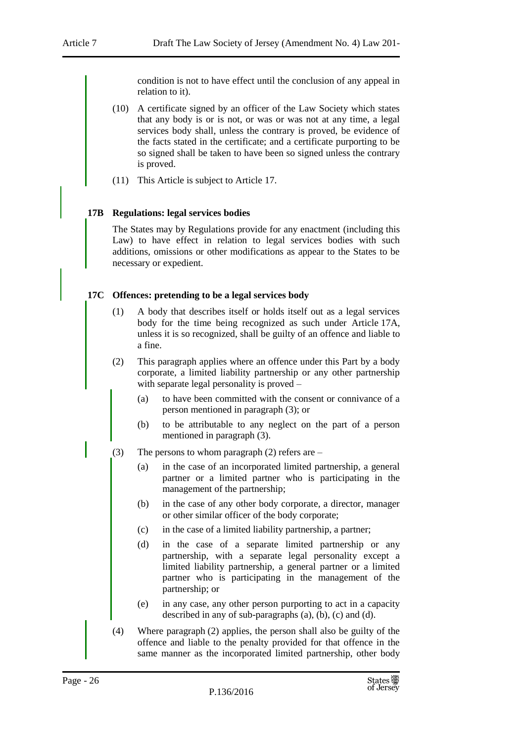condition is not to have effect until the conclusion of any appeal in relation to it).

- (10) A certificate signed by an officer of the Law Society which states that any body is or is not, or was or was not at any time, a legal services body shall, unless the contrary is proved, be evidence of the facts stated in the certificate; and a certificate purporting to be so signed shall be taken to have been so signed unless the contrary is proved.
- (11) This Article is subject to Article 17.

#### **17B Regulations: legal services bodies**

The States may by Regulations provide for any enactment (including this Law) to have effect in relation to legal services bodies with such additions, omissions or other modifications as appear to the States to be necessary or expedient.

#### **17C Offences: pretending to be a legal services body**

- (1) A body that describes itself or holds itself out as a legal services body for the time being recognized as such under Article 17A, unless it is so recognized, shall be guilty of an offence and liable to a fine.
- (2) This paragraph applies where an offence under this Part by a body corporate, a limited liability partnership or any other partnership with separate legal personality is proved –
	- (a) to have been committed with the consent or connivance of a person mentioned in paragraph (3); or
	- (b) to be attributable to any neglect on the part of a person mentioned in paragraph (3).
- (3) The persons to whom paragraph (2) refers are
	- (a) in the case of an incorporated limited partnership, a general partner or a limited partner who is participating in the management of the partnership;
	- (b) in the case of any other body corporate, a director, manager or other similar officer of the body corporate;
	- (c) in the case of a limited liability partnership, a partner;
	- (d) in the case of a separate limited partnership or any partnership, with a separate legal personality except a limited liability partnership, a general partner or a limited partner who is participating in the management of the partnership; or
	- (e) in any case, any other person purporting to act in a capacity described in any of sub-paragraphs (a), (b), (c) and (d).
- (4) Where paragraph (2) applies, the person shall also be guilty of the offence and liable to the penalty provided for that offence in the same manner as the incorporated limited partnership, other body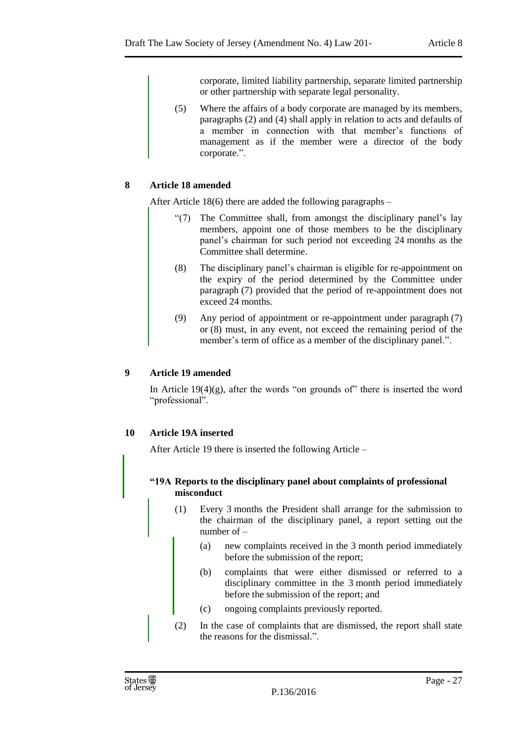corporate, limited liability partnership, separate limited partnership or other partnership with separate legal personality.

(5) Where the affairs of a body corporate are managed by its members, paragraphs (2) and (4) shall apply in relation to acts and defaults of a member in connection with that member's functions of management as if the member were a director of the body corporate.".

# <span id="page-26-0"></span>**8 Article 18 amended**

After Article 18(6) there are added the following paragraphs –

- "(7) The Committee shall, from amongst the disciplinary panel's lay members, appoint one of those members to be the disciplinary panel's chairman for such period not exceeding 24 months as the Committee shall determine.
- (8) The disciplinary panel's chairman is eligible for re-appointment on the expiry of the period determined by the Committee under paragraph (7) provided that the period of re-appointment does not exceed 24 months.
- (9) Any period of appointment or re-appointment under paragraph (7) or (8) must, in any event, not exceed the remaining period of the member's term of office as a member of the disciplinary panel.".

# <span id="page-26-1"></span>**9 Article 19 amended**

In Article  $19(4)(g)$ , after the words "on grounds of" there is inserted the word "professional".

# <span id="page-26-2"></span>**10 Article 19A inserted**

After Article 19 there is inserted the following Article –

# **"19A Reports to the disciplinary panel about complaints of professional misconduct**

- (1) Every 3 months the President shall arrange for the submission to the chairman of the disciplinary panel, a report setting out the number of –
	- (a) new complaints received in the 3 month period immediately before the submission of the report;
	- (b) complaints that were either dismissed or referred to a disciplinary committee in the 3 month period immediately before the submission of the report; and
	- (c) ongoing complaints previously reported.
- (2) In the case of complaints that are dismissed, the report shall state the reasons for the dismissal.".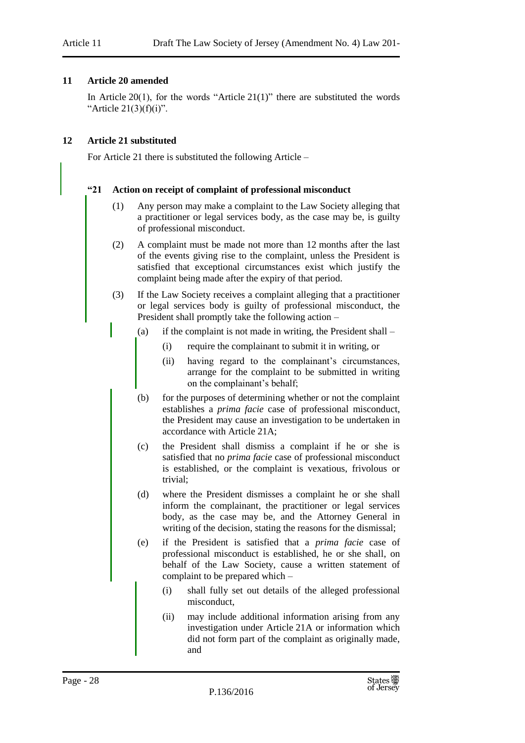#### <span id="page-27-0"></span>**11 Article 20 amended**

In Article 20(1), for the words "Article  $21(1)$ " there are substituted the words "Article  $21(3)(f)(i)$ ".

#### <span id="page-27-1"></span>**12 Article 21 substituted**

For Article 21 there is substituted the following Article –

#### **"21 Action on receipt of complaint of professional misconduct**

- (1) Any person may make a complaint to the Law Society alleging that a practitioner or legal services body, as the case may be, is guilty of professional misconduct.
- (2) A complaint must be made not more than 12 months after the last of the events giving rise to the complaint, unless the President is satisfied that exceptional circumstances exist which justify the complaint being made after the expiry of that period.
- (3) If the Law Society receives a complaint alleging that a practitioner or legal services body is guilty of professional misconduct, the President shall promptly take the following action –
	- (a) if the complaint is not made in writing, the President shall
		- (i) require the complainant to submit it in writing, or
		- (ii) having regard to the complainant's circumstances, arrange for the complaint to be submitted in writing on the complainant's behalf;
	- (b) for the purposes of determining whether or not the complaint establishes a *prima facie* case of professional misconduct, the President may cause an investigation to be undertaken in accordance with Article 21A;
	- (c) the President shall dismiss a complaint if he or she is satisfied that no *prima facie* case of professional misconduct is established, or the complaint is vexatious, frivolous or trivial;
	- (d) where the President dismisses a complaint he or she shall inform the complainant, the practitioner or legal services body, as the case may be, and the Attorney General in writing of the decision, stating the reasons for the dismissal;
	- (e) if the President is satisfied that a *prima facie* case of professional misconduct is established, he or she shall, on behalf of the Law Society, cause a written statement of complaint to be prepared which –
		- (i) shall fully set out details of the alleged professional misconduct,
		- (ii) may include additional information arising from any investigation under Article 21A or information which did not form part of the complaint as originally made, and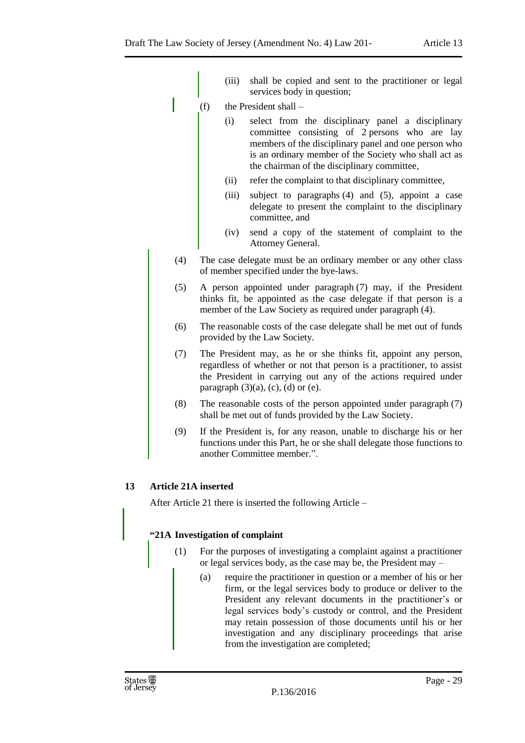- (iii) shall be copied and sent to the practitioner or legal services body in question;
- (f) the President shall
	- (i) select from the disciplinary panel a disciplinary committee consisting of 2 persons who are lay members of the disciplinary panel and one person who is an ordinary member of the Society who shall act as the chairman of the disciplinary committee,
	- (ii) refer the complaint to that disciplinary committee,
	- (iii) subject to paragraphs (4) and (5), appoint a case delegate to present the complaint to the disciplinary committee, and
	- (iv) send a copy of the statement of complaint to the Attorney General.
- (4) The case delegate must be an ordinary member or any other class of member specified under the bye-laws.
- (5) A person appointed under paragraph (7) may, if the President thinks fit, be appointed as the case delegate if that person is a member of the Law Society as required under paragraph (4).
- (6) The reasonable costs of the case delegate shall be met out of funds provided by the Law Society.
- (7) The President may, as he or she thinks fit, appoint any person, regardless of whether or not that person is a practitioner, to assist the President in carrying out any of the actions required under paragraph  $(3)(a)$ ,  $(c)$ ,  $(d)$  or  $(e)$ .
- (8) The reasonable costs of the person appointed under paragraph (7) shall be met out of funds provided by the Law Society.
- (9) If the President is, for any reason, unable to discharge his or her functions under this Part, he or she shall delegate those functions to another Committee member.".

# <span id="page-28-0"></span>**13 Article 21A inserted**

After Article 21 there is inserted the following Article –

# **"21A Investigation of complaint**

- (1) For the purposes of investigating a complaint against a practitioner or legal services body, as the case may be, the President may –
	- (a) require the practitioner in question or a member of his or her firm, or the legal services body to produce or deliver to the President any relevant documents in the practitioner's or legal services body's custody or control, and the President may retain possession of those documents until his or her investigation and any disciplinary proceedings that arise from the investigation are completed;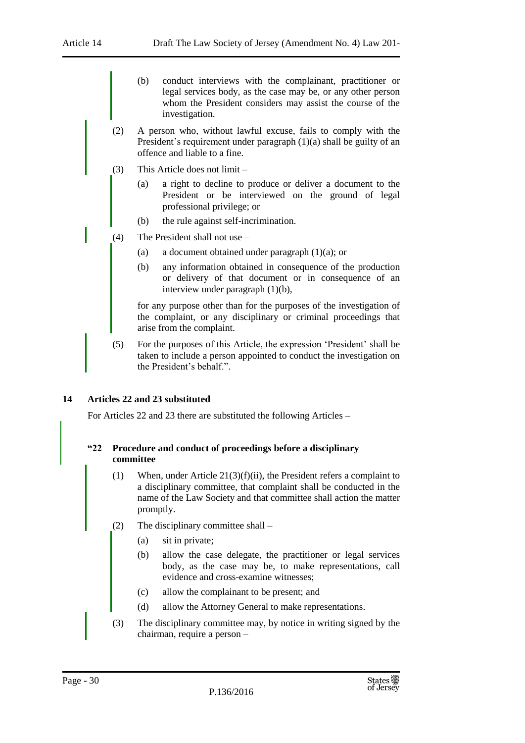- (b) conduct interviews with the complainant, practitioner or legal services body, as the case may be, or any other person whom the President considers may assist the course of the investigation.
- (2) A person who, without lawful excuse, fails to comply with the President's requirement under paragraph (1)(a) shall be guilty of an offence and liable to a fine.
- (3) This Article does not limit
	- (a) a right to decline to produce or deliver a document to the President or be interviewed on the ground of legal professional privilege; or
	- (b) the rule against self-incrimination.
- (4) The President shall not use
	- (a) a document obtained under paragraph (1)(a); or
	- (b) any information obtained in consequence of the production or delivery of that document or in consequence of an interview under paragraph (1)(b),

for any purpose other than for the purposes of the investigation of the complaint, or any disciplinary or criminal proceedings that arise from the complaint.

(5) For the purposes of this Article, the expression 'President' shall be taken to include a person appointed to conduct the investigation on the President's behalf.".

# <span id="page-29-0"></span>**14 Articles 22 and 23 substituted**

For Articles 22 and 23 there are substituted the following Articles –

# **"22 Procedure and conduct of proceedings before a disciplinary committee**

- (1) When, under Article 21(3)(f)(ii), the President refers a complaint to a disciplinary committee, that complaint shall be conducted in the name of the Law Society and that committee shall action the matter promptly.
- (2) The disciplinary committee shall
	- (a) sit in private;
	- (b) allow the case delegate, the practitioner or legal services body, as the case may be, to make representations, call evidence and cross-examine witnesses;
	- (c) allow the complainant to be present; and
	- (d) allow the Attorney General to make representations.
- (3) The disciplinary committee may, by notice in writing signed by the chairman, require a person –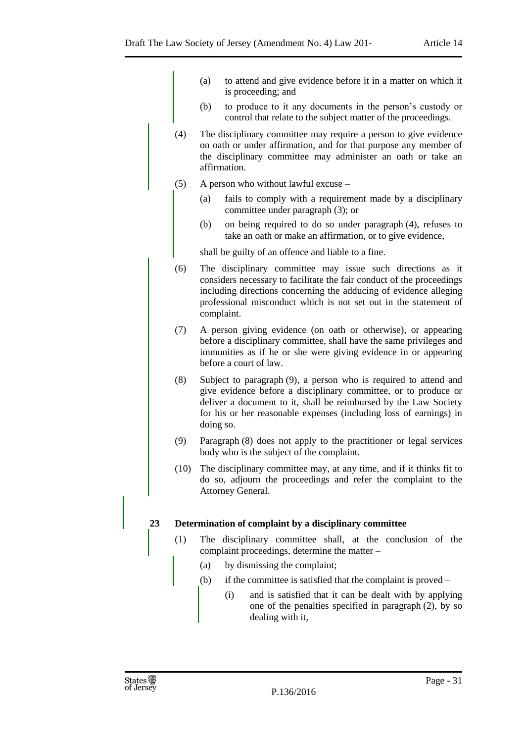- (a) to attend and give evidence before it in a matter on which it is proceeding; and
- (b) to produce to it any documents in the person's custody or control that relate to the subject matter of the proceedings.
- (4) The disciplinary committee may require a person to give evidence on oath or under affirmation, and for that purpose any member of the disciplinary committee may administer an oath or take an affirmation.
- (5) A person who without lawful excuse
	- (a) fails to comply with a requirement made by a disciplinary committee under paragraph (3); or
	- (b) on being required to do so under paragraph (4), refuses to take an oath or make an affirmation, or to give evidence,

shall be guilty of an offence and liable to a fine.

- (6) The disciplinary committee may issue such directions as it considers necessary to facilitate the fair conduct of the proceedings including directions concerning the adducing of evidence alleging professional misconduct which is not set out in the statement of complaint.
- (7) A person giving evidence (on oath or otherwise), or appearing before a disciplinary committee, shall have the same privileges and immunities as if he or she were giving evidence in or appearing before a court of law.
- (8) Subject to paragraph (9), a person who is required to attend and give evidence before a disciplinary committee, or to produce or deliver a document to it, shall be reimbursed by the Law Society for his or her reasonable expenses (including loss of earnings) in doing so.
- (9) Paragraph (8) does not apply to the practitioner or legal services body who is the subject of the complaint.
- (10) The disciplinary committee may, at any time, and if it thinks fit to do so, adjourn the proceedings and refer the complaint to the Attorney General.

# **23 Determination of complaint by a disciplinary committee**

- (1) The disciplinary committee shall, at the conclusion of the complaint proceedings, determine the matter –
	- (a) by dismissing the complaint;
	- (b) if the committee is satisfied that the complaint is proved
		- (i) and is satisfied that it can be dealt with by applying one of the penalties specified in paragraph (2), by so dealing with it,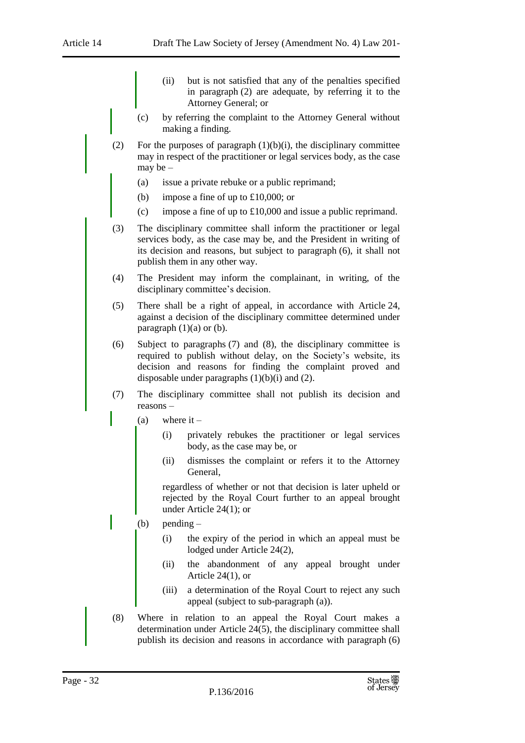- (ii) but is not satisfied that any of the penalties specified in paragraph (2) are adequate, by referring it to the Attorney General; or
- (c) by referring the complaint to the Attorney General without making a finding.
- (2) For the purposes of paragraph  $(1)(b)(i)$ , the disciplinary committee may in respect of the practitioner or legal services body, as the case may be –
	- (a) issue a private rebuke or a public reprimand;
	- (b) impose a fine of up to £10,000; or
	- (c) impose a fine of up to £10,000 and issue a public reprimand.
- (3) The disciplinary committee shall inform the practitioner or legal services body, as the case may be, and the President in writing of its decision and reasons, but subject to paragraph (6), it shall not publish them in any other way.
- (4) The President may inform the complainant, in writing, of the disciplinary committee's decision.
- (5) There shall be a right of appeal, in accordance with Article 24, against a decision of the disciplinary committee determined under paragraph  $(1)(a)$  or  $(b)$ .
- (6) Subject to paragraphs (7) and (8), the disciplinary committee is required to publish without delay, on the Society's website, its decision and reasons for finding the complaint proved and disposable under paragraphs  $(1)(b)(i)$  and  $(2)$ .
- (7) The disciplinary committee shall not publish its decision and reasons –
	- (a) where  $it -$ 
		- (i) privately rebukes the practitioner or legal services body, as the case may be, or
		- (ii) dismisses the complaint or refers it to the Attorney General,

regardless of whether or not that decision is later upheld or rejected by the Royal Court further to an appeal brought under Article 24(1); or

- (b) pending
	- (i) the expiry of the period in which an appeal must be lodged under Article 24(2),
	- (ii) the abandonment of any appeal brought under Article 24(1), or
	- (iii) a determination of the Royal Court to reject any such appeal (subject to sub-paragraph (a)).
- (8) Where in relation to an appeal the Royal Court makes a determination under Article 24(5), the disciplinary committee shall publish its decision and reasons in accordance with paragraph (6)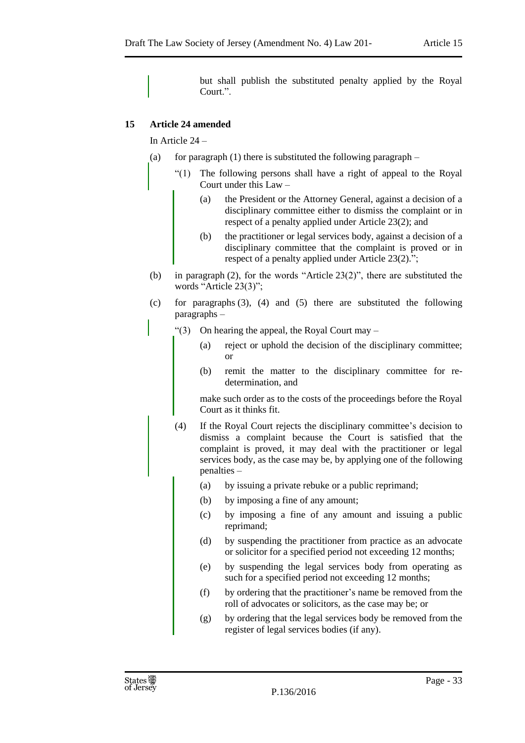but shall publish the substituted penalty applied by the Royal Court.".

# <span id="page-32-0"></span>**15 Article 24 amended**

In Article 24 –

- (a) for paragraph (1) there is substituted the following paragraph  $-$ 
	- The following persons shall have a right of appeal to the Royal Court under this Law –
		- (a) the President or the Attorney General, against a decision of a disciplinary committee either to dismiss the complaint or in respect of a penalty applied under Article 23(2); and
		- (b) the practitioner or legal services body, against a decision of a disciplinary committee that the complaint is proved or in respect of a penalty applied under Article 23(2).";
- (b) in paragraph (2), for the words "Article 23(2)", there are substituted the words "Article 23(3)";
- (c) for paragraphs (3), (4) and (5) there are substituted the following paragraphs –
	- " $(3)$  On hearing the appeal, the Royal Court may
		- (a) reject or uphold the decision of the disciplinary committee; or
		- (b) remit the matter to the disciplinary committee for redetermination, and

make such order as to the costs of the proceedings before the Royal Court as it thinks fit.

- (4) If the Royal Court rejects the disciplinary committee's decision to dismiss a complaint because the Court is satisfied that the complaint is proved, it may deal with the practitioner or legal services body, as the case may be, by applying one of the following penalties –
	- (a) by issuing a private rebuke or a public reprimand;
	- (b) by imposing a fine of any amount;
	- (c) by imposing a fine of any amount and issuing a public reprimand;
	- (d) by suspending the practitioner from practice as an advocate or solicitor for a specified period not exceeding 12 months;
	- (e) by suspending the legal services body from operating as such for a specified period not exceeding 12 months;
	- (f) by ordering that the practitioner's name be removed from the roll of advocates or solicitors, as the case may be; or
	- (g) by ordering that the legal services body be removed from the register of legal services bodies (if any).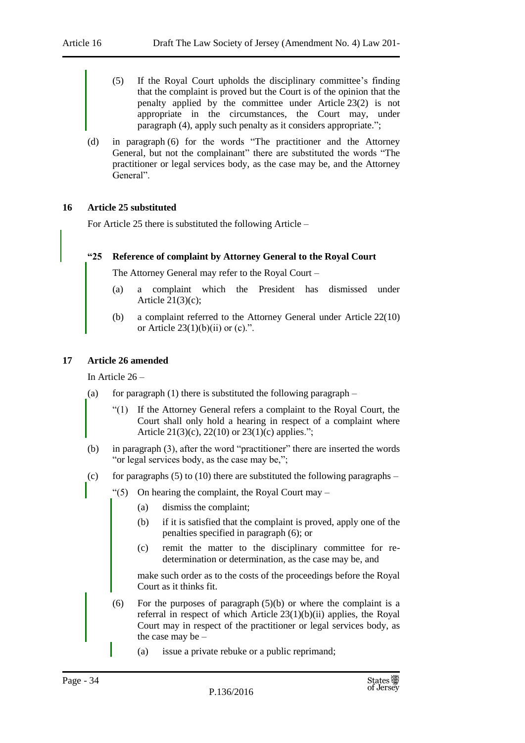- (5) If the Royal Court upholds the disciplinary committee's finding that the complaint is proved but the Court is of the opinion that the penalty applied by the committee under Article 23(2) is not appropriate in the circumstances, the Court may, under paragraph (4), apply such penalty as it considers appropriate.";
- (d) in paragraph (6) for the words "The practitioner and the Attorney General, but not the complainant" there are substituted the words "The practitioner or legal services body, as the case may be, and the Attorney General".

#### <span id="page-33-0"></span>**16 Article 25 substituted**

For Article 25 there is substituted the following Article –

#### **"25 Reference of complaint by Attorney General to the Royal Court**

The Attorney General may refer to the Royal Court –

- (a) a complaint which the President has dismissed under Article  $21(3)(c)$ ;
- (b) a complaint referred to the Attorney General under Article 22(10) or Article  $23(1)(b)(ii)$  or (c).".

#### <span id="page-33-1"></span>**17 Article 26 amended**

In Article 26 –

- (a) for paragraph (1) there is substituted the following paragraph  $-$ 
	- "(1) If the Attorney General refers a complaint to the Royal Court, the Court shall only hold a hearing in respect of a complaint where Article 21(3)(c), 22(10) or 23(1)(c) applies.";
- (b) in paragraph (3), after the word "practitioner" there are inserted the words "or legal services body, as the case may be,";
- (c) for paragraphs  $(5)$  to  $(10)$  there are substituted the following paragraphs
	- $\degree$ (5) On hearing the complaint, the Royal Court may
		- (a) dismiss the complaint;
		- (b) if it is satisfied that the complaint is proved, apply one of the penalties specified in paragraph (6); or
		- (c) remit the matter to the disciplinary committee for redetermination or determination, as the case may be, and

make such order as to the costs of the proceedings before the Royal Court as it thinks fit.

- (6) For the purposes of paragraph  $(5)(b)$  or where the complaint is a referral in respect of which Article  $23(1)(b)(ii)$  applies, the Royal Court may in respect of the practitioner or legal services body, as the case may be –
	- (a) issue a private rebuke or a public reprimand;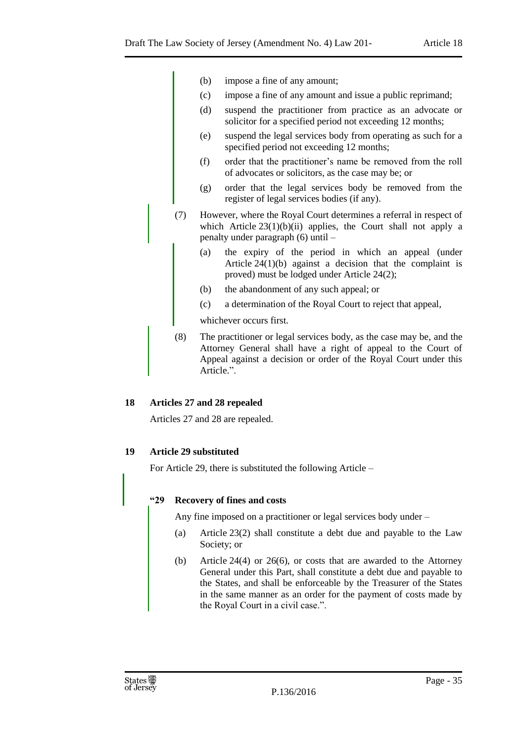- (b) impose a fine of any amount;
- (c) impose a fine of any amount and issue a public reprimand;
- (d) suspend the practitioner from practice as an advocate or solicitor for a specified period not exceeding 12 months;
- (e) suspend the legal services body from operating as such for a specified period not exceeding 12 months;
- (f) order that the practitioner's name be removed from the roll of advocates or solicitors, as the case may be; or
- (g) order that the legal services body be removed from the register of legal services bodies (if any).
- (7) However, where the Royal Court determines a referral in respect of which Article 23(1)(b)(ii) applies, the Court shall not apply a penalty under paragraph (6) until –
	- (a) the expiry of the period in which an appeal (under Article 24(1)(b) against a decision that the complaint is proved) must be lodged under Article 24(2);
	- (b) the abandonment of any such appeal; or
	- (c) a determination of the Royal Court to reject that appeal,

whichever occurs first.

(8) The practitioner or legal services body, as the case may be, and the Attorney General shall have a right of appeal to the Court of Appeal against a decision or order of the Royal Court under this Article.".

# <span id="page-34-0"></span>**18 Articles 27 and 28 repealed**

Articles 27 and 28 are repealed.

# <span id="page-34-1"></span>**19 Article 29 substituted**

For Article 29, there is substituted the following Article –

# **"29 Recovery of fines and costs**

Any fine imposed on a practitioner or legal services body under –

- (a) Article 23(2) shall constitute a debt due and payable to the Law Society; or
- (b) Article 24(4) or 26(6), or costs that are awarded to the Attorney General under this Part, shall constitute a debt due and payable to the States, and shall be enforceable by the Treasurer of the States in the same manner as an order for the payment of costs made by the Royal Court in a civil case.".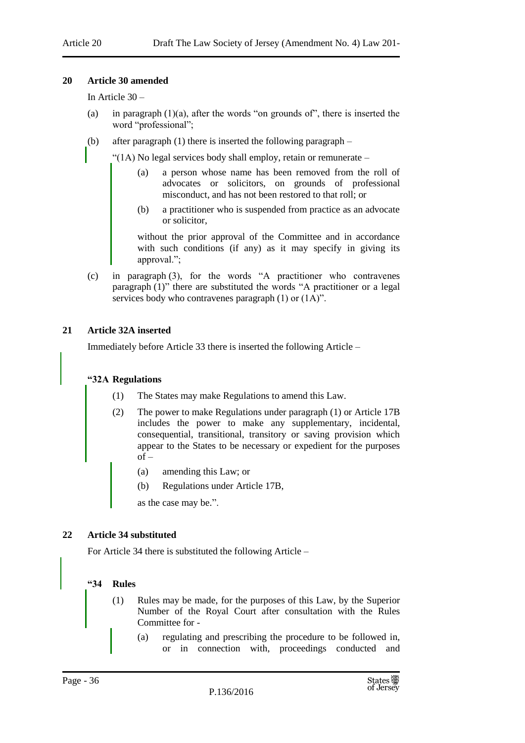#### <span id="page-35-0"></span>**20 Article 30 amended**

In Article 30 –

- (a) in paragraph  $(1)(a)$ , after the words "on grounds of", there is inserted the word "professional";
- (b) after paragraph (1) there is inserted the following paragraph –

"(1A) No legal services body shall employ, retain or remunerate –

- (a) a person whose name has been removed from the roll of advocates or solicitors, on grounds of professional misconduct, and has not been restored to that roll; or
- (b) a practitioner who is suspended from practice as an advocate or solicitor,

without the prior approval of the Committee and in accordance with such conditions (if any) as it may specify in giving its approval.";

(c) in paragraph (3), for the words "A practitioner who contravenes paragraph (1)" there are substituted the words "A practitioner or a legal services body who contravenes paragraph (1) or (1A)".

#### <span id="page-35-1"></span>**21 Article 32A inserted**

Immediately before Article 33 there is inserted the following Article –

#### **"32A Regulations**

- (1) The States may make Regulations to amend this Law.
- (2) The power to make Regulations under paragraph (1) or Article 17B includes the power to make any supplementary, incidental, consequential, transitional, transitory or saving provision which appear to the States to be necessary or expedient for the purposes  $of -$ 
	- (a) amending this Law; or
	- (b) Regulations under Article 17B,

as the case may be.".

#### <span id="page-35-2"></span>**22 Article 34 substituted**

For Article 34 there is substituted the following Article –

#### **"34 Rules**

- (1) Rules may be made, for the purposes of this Law, by the Superior Number of the Royal Court after consultation with the Rules Committee for -
	- (a) regulating and prescribing the procedure to be followed in, or in connection with, proceedings conducted and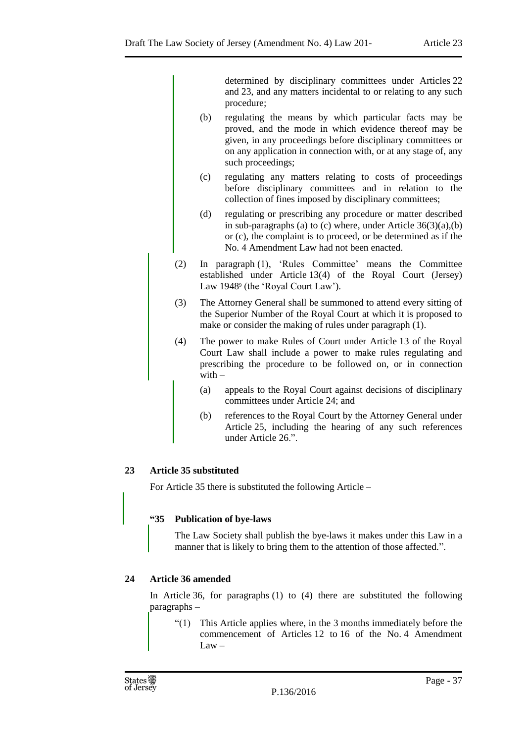determined by disciplinary committees under Articles 22 and 23, and any matters incidental to or relating to any such procedure;

- (b) regulating the means by which particular facts may be proved, and the mode in which evidence thereof may be given, in any proceedings before disciplinary committees or on any application in connection with, or at any stage of, any such proceedings;
- (c) regulating any matters relating to costs of proceedings before disciplinary committees and in relation to the collection of fines imposed by disciplinary committees;
- (d) regulating or prescribing any procedure or matter described in sub-paragraphs (a) to (c) where, under Article  $36(3)(a)$ , (b) or (c), the complaint is to proceed, or be determined as if the No. 4 Amendment Law had not been enacted.
- (2) In paragraph (1), 'Rules Committee' means the Committee established under Article 13(4) of the Royal Court (Jersey) Law 1948<sup>9</sup> (the 'Royal Court Law').
- (3) The Attorney General shall be summoned to attend every sitting of the Superior Number of the Royal Court at which it is proposed to make or consider the making of rules under paragraph (1).
- (4) The power to make Rules of Court under Article 13 of the Royal Court Law shall include a power to make rules regulating and prescribing the procedure to be followed on, or in connection with  $-$ 
	- (a) appeals to the Royal Court against decisions of disciplinary committees under Article 24; and
	- (b) references to the Royal Court by the Attorney General under Article 25, including the hearing of any such references under Article 26.".

# <span id="page-36-0"></span>**23 Article 35 substituted**

For Article 35 there is substituted the following Article –

# **"35 Publication of bye-laws**

The Law Society shall publish the bye-laws it makes under this Law in a manner that is likely to bring them to the attention of those affected.".

# <span id="page-36-1"></span>**24 Article 36 amended**

In Article 36, for paragraphs (1) to (4) there are substituted the following paragraphs –

"(1) This Article applies where, in the 3 months immediately before the commencement of Articles 12 to 16 of the No. 4 Amendment  $Law -$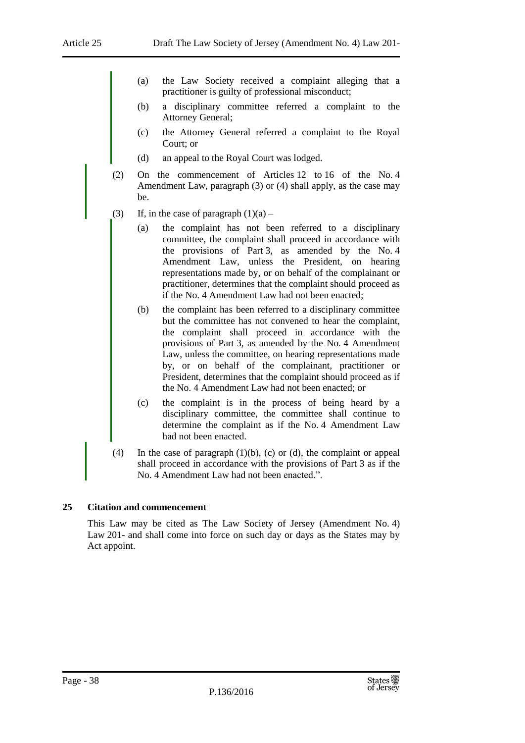- (a) the Law Society received a complaint alleging that a practitioner is guilty of professional misconduct;
- (b) a disciplinary committee referred a complaint to the Attorney General;
- (c) the Attorney General referred a complaint to the Royal Court; or
- (d) an appeal to the Royal Court was lodged.
- (2) On the commencement of Articles 12 to 16 of the No. 4 Amendment Law, paragraph (3) or (4) shall apply, as the case may be.
- (3) If, in the case of paragraph  $(1)(a)$ 
	- (a) the complaint has not been referred to a disciplinary committee, the complaint shall proceed in accordance with the provisions of Part 3, as amended by the No. 4 Amendment Law, unless the President, on hearing representations made by, or on behalf of the complainant or practitioner, determines that the complaint should proceed as if the No. 4 Amendment Law had not been enacted;
	- (b) the complaint has been referred to a disciplinary committee but the committee has not convened to hear the complaint, the complaint shall proceed in accordance with the provisions of Part 3, as amended by the No. 4 Amendment Law, unless the committee, on hearing representations made by, or on behalf of the complainant, practitioner or President, determines that the complaint should proceed as if the No. 4 Amendment Law had not been enacted; or
	- (c) the complaint is in the process of being heard by a disciplinary committee, the committee shall continue to determine the complaint as if the No. 4 Amendment Law had not been enacted.
- (4) In the case of paragraph (1)(b), (c) or (d), the complaint or appeal shall proceed in accordance with the provisions of Part 3 as if the No. 4 Amendment Law had not been enacted.".

# <span id="page-37-0"></span>**25 Citation and commencement**

This Law may be cited as The Law Society of Jersey (Amendment No. 4) Law 201- and shall come into force on such day or days as the States may by Act appoint.